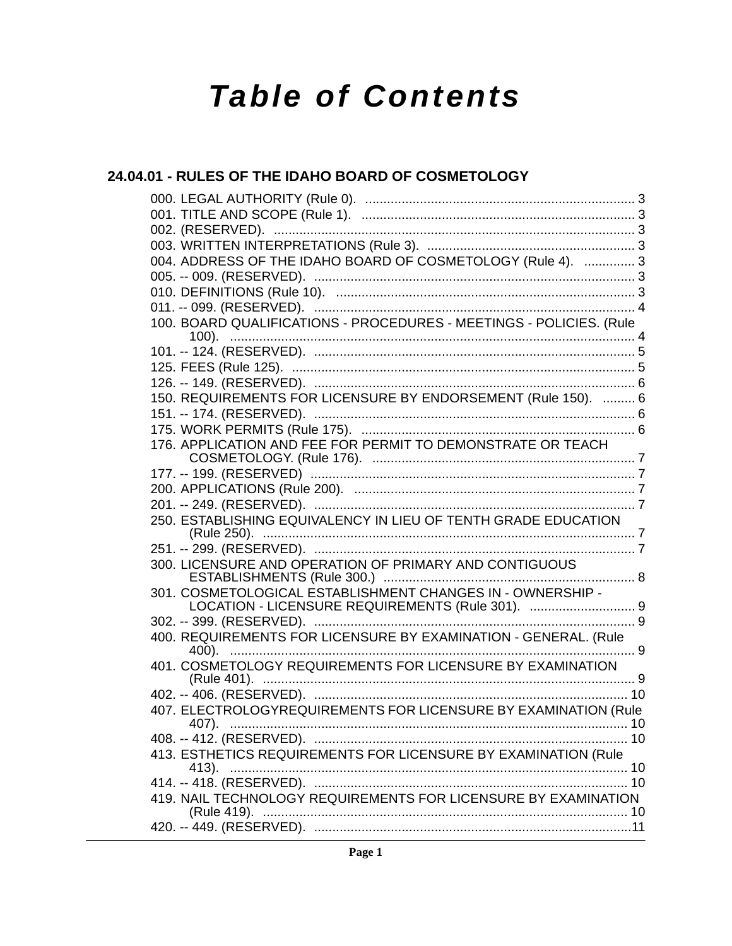# **Table of Contents**

### 24.04.01 - RULES OF THE IDAHO BOARD OF COSMETOLOGY

| 004. ADDRESS OF THE IDAHO BOARD OF COSMETOLOGY (Rule 4).  3              |                |
|--------------------------------------------------------------------------|----------------|
|                                                                          |                |
|                                                                          |                |
|                                                                          |                |
| 100. BOARD QUALIFICATIONS - PROCEDURES - MEETINGS - POLICIES. (Rule      |                |
|                                                                          |                |
|                                                                          |                |
|                                                                          |                |
|                                                                          |                |
| 150. REQUIREMENTS FOR LICENSURE BY ENDORSEMENT (Rule 150).  6            |                |
|                                                                          |                |
|                                                                          |                |
| 176. APPLICATION AND FEE FOR PERMIT TO DEMONSTRATE OR TEACH              |                |
|                                                                          |                |
|                                                                          |                |
|                                                                          |                |
| 250. ESTABLISHING EQUIVALENCY IN LIEU OF TENTH GRADE EDUCATION           |                |
|                                                                          |                |
| 300. LICENSURE AND OPERATION OF PRIMARY AND CONTIGUOUS                   |                |
| 301. COSMETOLOGICAL ESTABLISHMENT CHANGES IN - OWNERSHIP -               |                |
| LOCATION - LICENSURE REQUIREMENTS (Rule 301).  9                         |                |
|                                                                          |                |
| 400. REQUIREMENTS FOR LICENSURE BY EXAMINATION - GENERAL. (Rule          |                |
| 401. COSMETOLOGY REQUIREMENTS FOR LICENSURE BY EXAMINATION               |                |
|                                                                          |                |
| 407. ELECTROLOGYREQUIREMENTS FOR LICENSURE BY EXAMINATION (Rule<br>(407) | 1 <sub>0</sub> |
|                                                                          |                |
| 413. ESTHETICS REQUIREMENTS FOR LICENSURE BY EXAMINATION (Rule           |                |
|                                                                          |                |
| 419. NAIL TECHNOLOGY REQUIREMENTS FOR LICENSURE BY EXAMINATION           |                |
|                                                                          |                |
|                                                                          |                |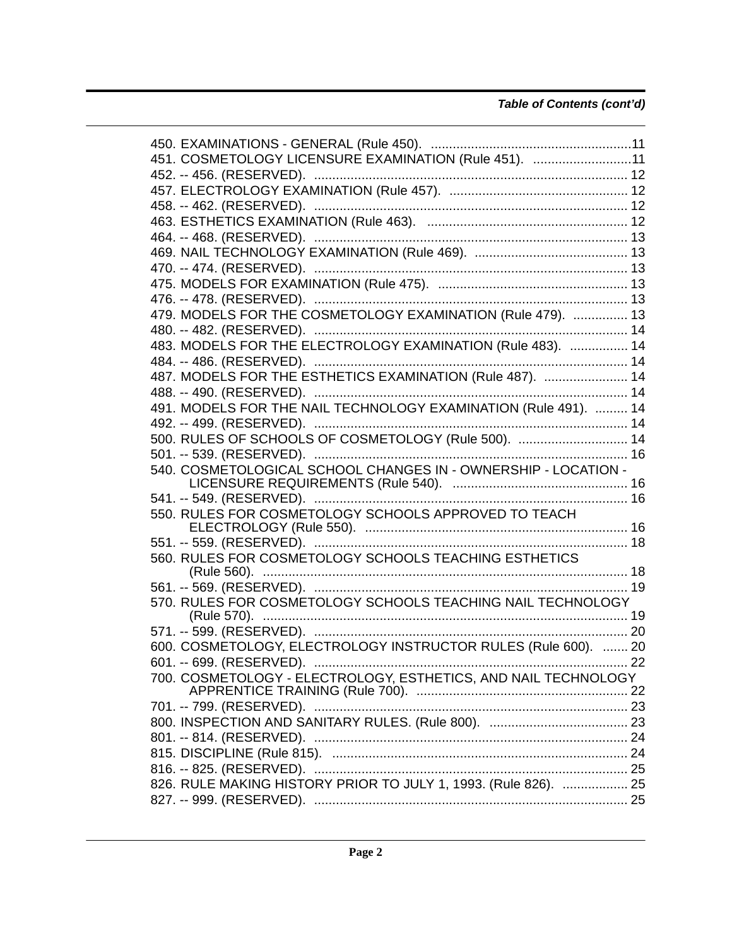#### *Table of Contents (cont'd)*

| 451. COSMETOLOGY LICENSURE EXAMINATION (Rule 451). 11           |    |
|-----------------------------------------------------------------|----|
|                                                                 |    |
|                                                                 |    |
|                                                                 |    |
|                                                                 |    |
|                                                                 |    |
|                                                                 |    |
|                                                                 |    |
|                                                                 |    |
|                                                                 |    |
|                                                                 |    |
| 479. MODELS FOR THE COSMETOLOGY EXAMINATION (Rule 479).  13     |    |
|                                                                 |    |
| 483. MODELS FOR THE ELECTROLOGY EXAMINATION (Rule 483).  14     |    |
|                                                                 |    |
| 487. MODELS FOR THE ESTHETICS EXAMINATION (Rule 487).  14       |    |
|                                                                 |    |
| 491. MODELS FOR THE NAIL TECHNOLOGY EXAMINATION (Rule 491).  14 |    |
|                                                                 |    |
| 500. RULES OF SCHOOLS OF COSMETOLOGY (Rule 500).  14            |    |
|                                                                 |    |
| 540. COSMETOLOGICAL SCHOOL CHANGES IN - OWNERSHIP - LOCATION -  |    |
|                                                                 |    |
|                                                                 |    |
| 550. RULES FOR COSMETOLOGY SCHOOLS APPROVED TO TEACH            |    |
|                                                                 |    |
|                                                                 |    |
| 560. RULES FOR COSMETOLOGY SCHOOLS TEACHING ESTHETICS           |    |
|                                                                 |    |
|                                                                 |    |
| 570. RULES FOR COSMETOLOGY SCHOOLS TEACHING NAIL TECHNOLOGY     |    |
|                                                                 |    |
|                                                                 |    |
| 600. COSMETOLOGY, ELECTROLOGY INSTRUCTOR RULES (Rule 600).  20  |    |
| 601. -- 699. (RESERVED).                                        | 22 |
| 700. COSMETOLOGY - ELECTROLOGY, ESTHETICS, AND NAIL TECHNOLOGY  |    |
|                                                                 |    |
|                                                                 |    |
|                                                                 |    |
|                                                                 |    |
|                                                                 |    |
|                                                                 |    |
| 826. RULE MAKING HISTORY PRIOR TO JULY 1, 1993. (Rule 826).  25 |    |
|                                                                 |    |
|                                                                 |    |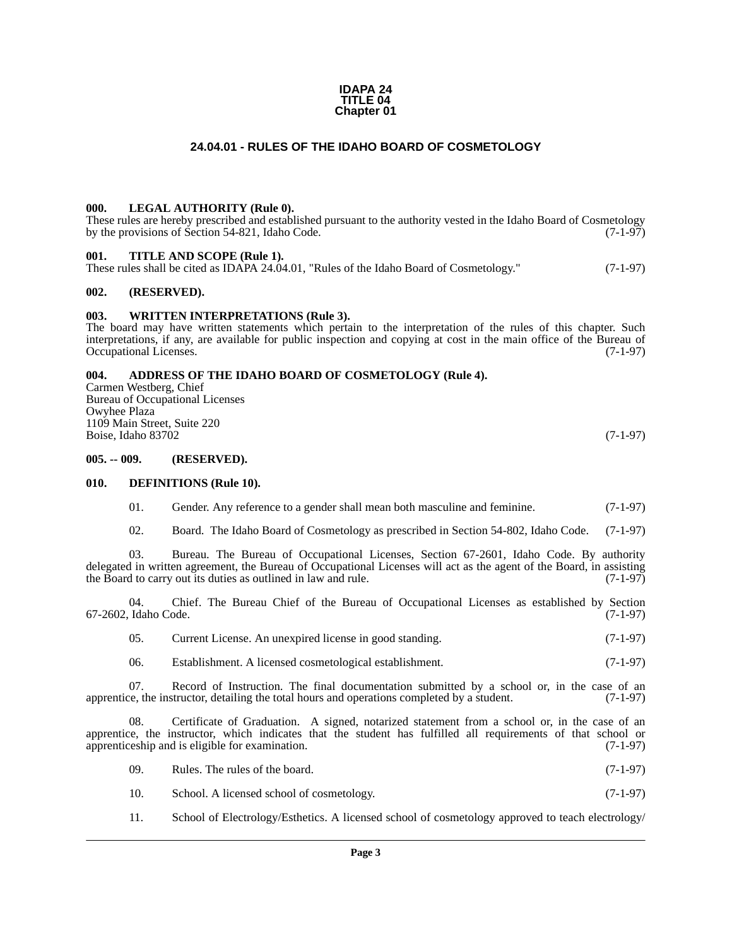#### **IDAPA 24 TITLE 04 Chapter 01**

#### **24.04.01 - RULES OF THE IDAHO BOARD OF COSMETOLOGY**

#### <span id="page-2-1"></span><span id="page-2-0"></span>**000. LEGAL AUTHORITY (Rule 0).**

These rules are hereby prescribed and established pursuant to the authority vested in the Idaho Board of Cosmetology by the provisions of Section 54-821, Idaho Code. (7-1-97)

#### <span id="page-2-2"></span>**001. TITLE AND SCOPE (Rule 1).**

These rules shall be cited as IDAPA 24.04.01, "Rules of the Idaho Board of Cosmetology." (7-1-97)

#### <span id="page-2-3"></span>**002. (RESERVED).**

#### <span id="page-2-4"></span>**003. WRITTEN INTERPRETATIONS (Rule 3).**

The board may have written statements which pertain to the interpretation of the rules of this chapter. Such interpretations, if any, are available for public inspection and copying at cost in the main office of the Bureau of Occupational Licenses. (7-1-97)

#### <span id="page-2-5"></span>**004. ADDRESS OF THE IDAHO BOARD OF COSMETOLOGY (Rule 4).**

Carmen Westberg, Chief Bureau of Occupational Licenses Owyhee Plaza 1109 Main Street, Suite 220 Boise, Idaho 83702 (7-1-97)

#### <span id="page-2-6"></span>**005. -- 009. (RESERVED).**

#### <span id="page-2-7"></span>**010. DEFINITIONS (Rule 10).**

- 01. Gender. Any reference to a gender shall mean both masculine and feminine. (7-1-97)
- 02. Board. The Idaho Board of Cosmetology as prescribed in Section 54-802, Idaho Code. (7-1-97)

03. Bureau. The Bureau of Occupational Licenses, Section 67-2601, Idaho Code. By authority delegated in written agreement, the Bureau of Occupational Licenses will act as the agent of the Board, in assisting the Board to carry out its duties as outlined in law and rule. (7-1-97) the Board to carry out its duties as outlined in law and rule.

04. Chief. The Bureau Chief of the Bureau of Occupational Licenses as established by Section Idaho Code. (7-1-97) 67-2602, Idaho Code.

- 05. Current License. An unexpired license in good standing. (7-1-97)
- 06. Establishment. A licensed cosmetological establishment. (7-1-97)

07. Record of Instruction. The final documentation submitted by a school or, in the case of an  $ce$ , the instructor, detailing the total hours and operations completed by a student. (7-1-97) apprentice, the instructor, detailing the total hours and operations completed by a student.

08. Certificate of Graduation. A signed, notarized statement from a school or, in the case of an apprentice, the instructor, which indicates that the student has fulfilled all requirements of that school or apprenticeship and is eligible for examination. (7-1-97)

- 09. Rules. The rules of the board. (7-1-97)
- 10. School. A licensed school of cosmetology. (7-1-97)
- 11. School of Electrology/Esthetics. A licensed school of cosmetology approved to teach electrology/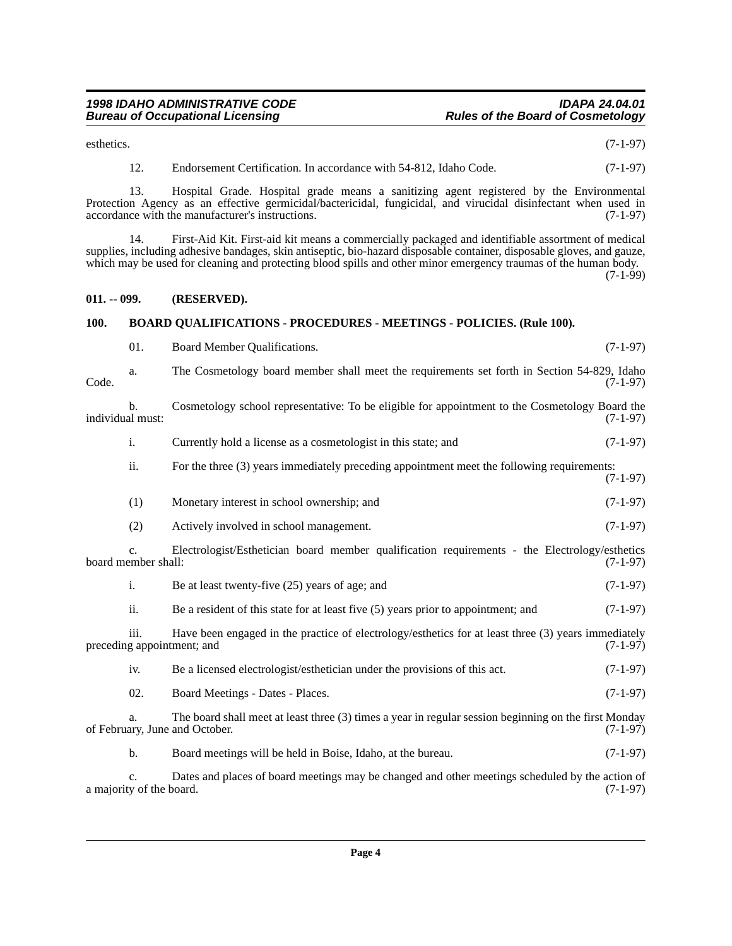esthetics.  $(7-1-97)$ 

12. Endorsement Certification. In accordance with 54-812, Idaho Code. (7-1-97)

13. Hospital Grade. Hospital grade means a sanitizing agent registered by the Environmental Protection Agency as an effective germicidal/bactericidal, fungicidal, and virucidal disinfectant when used in accordance with the manufacturer's instructions. (7-1-97)

14. First-Aid Kit. First-aid kit means a commercially packaged and identifiable assortment of medical supplies, including adhesive bandages, skin antiseptic, bio-hazard disposable container, disposable gloves, and gauze, which may be used for cleaning and protecting blood spills and other minor emergency traumas of the human body.

 $(7-1-99)$ 

#### <span id="page-3-0"></span>**011. -- 099. (RESERVED).**

#### <span id="page-3-1"></span>**100. BOARD QUALIFICATIONS - PROCEDURES - MEETINGS - POLICIES. (Rule 100).**

|                                                                                                                                        | 01.                            | Board Member Qualifications.                                                                                                            | $(7-1-97)$ |
|----------------------------------------------------------------------------------------------------------------------------------------|--------------------------------|-----------------------------------------------------------------------------------------------------------------------------------------|------------|
| Code.                                                                                                                                  | a.                             | The Cosmetology board member shall meet the requirements set forth in Section 54-829, Idaho                                             | $(7-1-97)$ |
|                                                                                                                                        | b.<br>individual must:         | Cosmetology school representative: To be eligible for appointment to the Cosmetology Board the                                          | $(7-1-97)$ |
|                                                                                                                                        | i.                             | Currently hold a license as a cosmetologist in this state; and                                                                          | $(7-1-97)$ |
|                                                                                                                                        | ii.                            | For the three (3) years immediately preceding appointment meet the following requirements:                                              | $(7-1-97)$ |
|                                                                                                                                        | (1)                            | Monetary interest in school ownership; and                                                                                              | $(7-1-97)$ |
|                                                                                                                                        | (2)                            | Actively involved in school management.                                                                                                 | $(7-1-97)$ |
| Electrologist/Esthetician board member qualification requirements - the Electrology/esthetics<br>C <sub>1</sub><br>board member shall: |                                | $(7-1-97)$                                                                                                                              |            |
|                                                                                                                                        | $\mathbf{i}$ .                 | Be at least twenty-five (25) years of age; and                                                                                          | $(7-1-97)$ |
|                                                                                                                                        | ii.                            | Be a resident of this state for at least five (5) years prior to appointment; and                                                       | $(7-1-97)$ |
|                                                                                                                                        | iii.                           | Have been engaged in the practice of electrology/esthetics for at least three (3) years immediately<br>preceding appointment; and       | $(7-1-97)$ |
|                                                                                                                                        | iv.                            | Be a licensed electrologist/esthetician under the provisions of this act.                                                               | $(7-1-97)$ |
|                                                                                                                                        | 02.                            | Board Meetings - Dates - Places.                                                                                                        | $(7-1-97)$ |
|                                                                                                                                        | a.                             | The board shall meet at least three (3) times a year in regular session beginning on the first Monday<br>of February, June and October. | $(7-1-97)$ |
|                                                                                                                                        | b.                             | Board meetings will be held in Boise, Idaho, at the bureau.                                                                             | $(7-1-97)$ |
|                                                                                                                                        | c.<br>a majority of the board. | Dates and places of board meetings may be changed and other meetings scheduled by the action of                                         | $(7-1-97)$ |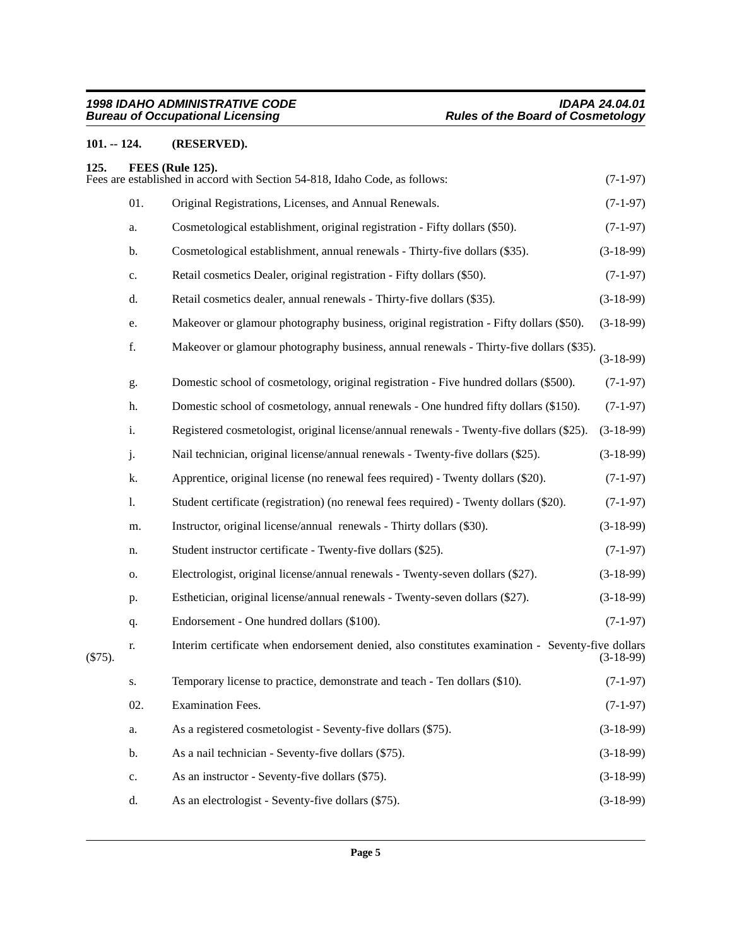#### <span id="page-4-0"></span>**101. -- 124. (RESERVED).**

<span id="page-4-1"></span>

| 125.      |               | FEES (Rule 125).<br>Fees are established in accord with Section 54-818, Idaho Code, as follows:  | $(7-1-97)$  |
|-----------|---------------|--------------------------------------------------------------------------------------------------|-------------|
|           | 01.           | Original Registrations, Licenses, and Annual Renewals.                                           | $(7-1-97)$  |
|           | a.            | Cosmetological establishment, original registration - Fifty dollars (\$50).                      | $(7-1-97)$  |
|           | b.            | Cosmetological establishment, annual renewals - Thirty-five dollars (\$35).                      | $(3-18-99)$ |
|           | c.            | Retail cosmetics Dealer, original registration - Fifty dollars (\$50).                           | $(7-1-97)$  |
|           | d.            | Retail cosmetics dealer, annual renewals - Thirty-five dollars (\$35).                           | $(3-18-99)$ |
|           | e.            | Makeover or glamour photography business, original registration - Fifty dollars (\$50).          | $(3-18-99)$ |
|           | f.            | Makeover or glamour photography business, annual renewals - Thirty-five dollars (\$35).          | $(3-18-99)$ |
|           | g.            | Domestic school of cosmetology, original registration - Five hundred dollars (\$500).            | $(7-1-97)$  |
|           | h.            | Domestic school of cosmetology, annual renewals - One hundred fifty dollars (\$150).             | $(7-1-97)$  |
|           | i.            | Registered cosmetologist, original license/annual renewals - Twenty-five dollars (\$25).         | $(3-18-99)$ |
|           | j.            | Nail technician, original license/annual renewals - Twenty-five dollars (\$25).                  | $(3-18-99)$ |
|           | k.            | Apprentice, original license (no renewal fees required) - Twenty dollars (\$20).                 | $(7-1-97)$  |
|           | 1.            | Student certificate (registration) (no renewal fees required) - Twenty dollars (\$20).           | $(7-1-97)$  |
|           | m.            | Instructor, original license/annual renewals - Thirty dollars (\$30).                            | $(3-18-99)$ |
|           | n.            | Student instructor certificate - Twenty-five dollars (\$25).                                     | $(7-1-97)$  |
|           | 0.            | Electrologist, original license/annual renewals - Twenty-seven dollars (\$27).                   | $(3-18-99)$ |
|           | p.            | Esthetician, original license/annual renewals - Twenty-seven dollars (\$27).                     | $(3-18-99)$ |
|           | q.            | Endorsement - One hundred dollars (\$100).                                                       | $(7-1-97)$  |
| $(\$75).$ | r.            | Interim certificate when endorsement denied, also constitutes examination - Seventy-five dollars | $(3-18-99)$ |
|           | S.            | Temporary license to practice, demonstrate and teach - Ten dollars (\$10).                       | $(7-1-97)$  |
|           | 02.           | <b>Examination Fees.</b>                                                                         | $(7-1-97)$  |
|           | a.            | As a registered cosmetologist - Seventy-five dollars (\$75).                                     | $(3-18-99)$ |
|           | b.            | As a nail technician - Seventy-five dollars (\$75).                                              | $(3-18-99)$ |
|           | $\mathbf{c}.$ | As an instructor - Seventy-five dollars (\$75).                                                  | $(3-18-99)$ |
|           | d.            | As an electrologist - Seventy-five dollars (\$75).                                               | $(3-18-99)$ |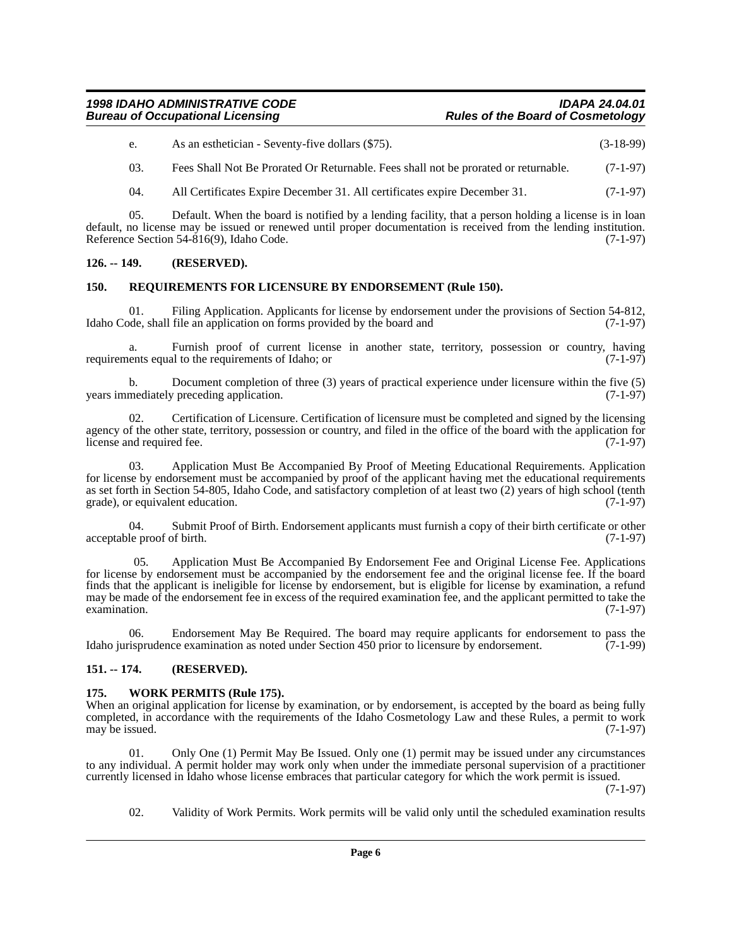#### *1998 IDAHO ADMINISTRATIVE CODE IDAPA 24.04.01* **Rules of the Board of Cosmetology**

| As an esthetician - Seventy-five dollars (\$75). | $(3-18-99)$ |
|--------------------------------------------------|-------------|
|--------------------------------------------------|-------------|

03. Fees Shall Not Be Prorated Or Returnable. Fees shall not be prorated or returnable. (7-1-97)

04. All Certificates Expire December 31. All certificates expire December 31. (7-1-97)

05. Default. When the board is notified by a lending facility, that a person holding a license is in loan default, no license may be issued or renewed until proper documentation is received from the lending institution. Reference Section 54-816(9), Idaho Code. (7-1-97)

#### <span id="page-5-0"></span>**126. -- 149. (RESERVED).**

#### <span id="page-5-1"></span>**150. REQUIREMENTS FOR LICENSURE BY ENDORSEMENT (Rule 150).**

01. Filing Application. Applicants for license by endorsement under the provisions of Section 54-812, ode, shall file an application on forms provided by the board and (7-1-97) Idaho Code, shall file an application on forms provided by the board and

a. Furnish proof of current license in another state, territory, possession or country, having requirements equal to the requirements of Idaho; or (7-1-97)

b. Document completion of three (3) years of practical experience under licensure within the five (5) mediately preceding application. (7-1-97) years immediately preceding application.

02. Certification of Licensure. Certification of licensure must be completed and signed by the licensing agency of the other state, territory, possession or country, and filed in the office of the board with the application for<br>(7-1-97) license and required fee.

03. Application Must Be Accompanied By Proof of Meeting Educational Requirements. Application for license by endorsement must be accompanied by proof of the applicant having met the educational requirements as set forth in Section 54-805, Idaho Code, and satisfactory completion of at least two (2) years of high school (tenth grade), or equivalent education. (7-1-97) grade), or equivalent education.

04. Submit Proof of Birth. Endorsement applicants must furnish a copy of their birth certificate or other acceptable proof of birth. (7-1-97)

 05. Application Must Be Accompanied By Endorsement Fee and Original License Fee. Applications for license by endorsement must be accompanied by the endorsement fee and the original license fee. If the board finds that the applicant is ineligible for license by endorsement, but is eligible for license by examination, a refund may be made of the endorsement fee in excess of the required examination fee, and the applicant permitted to take the examination. (7-1-97)  $\alpha$  examination. (7-1-97)

06. Endorsement May Be Required. The board may require applicants for endorsement to pass the Idaho jurisprudence examination as noted under Section 450 prior to licensure by endorsement. (7-1-99)

#### <span id="page-5-2"></span>**151. -- 174. (RESERVED).**

#### <span id="page-5-3"></span>**175. WORK PERMITS (Rule 175).**

When an original application for license by examination, or by endorsement, is accepted by the board as being fully completed, in accordance with the requirements of the Idaho Cosmetology Law and these Rules, a permit to work<br>may be issued. (7-1-97) may be issued.

01. Only One (1) Permit May Be Issued. Only one (1) permit may be issued under any circumstances to any individual. A permit holder may work only when under the immediate personal supervision of a practitioner currently licensed in Idaho whose license embraces that particular category for which the work permit is issued.

(7-1-97)

02. Validity of Work Permits. Work permits will be valid only until the scheduled examination results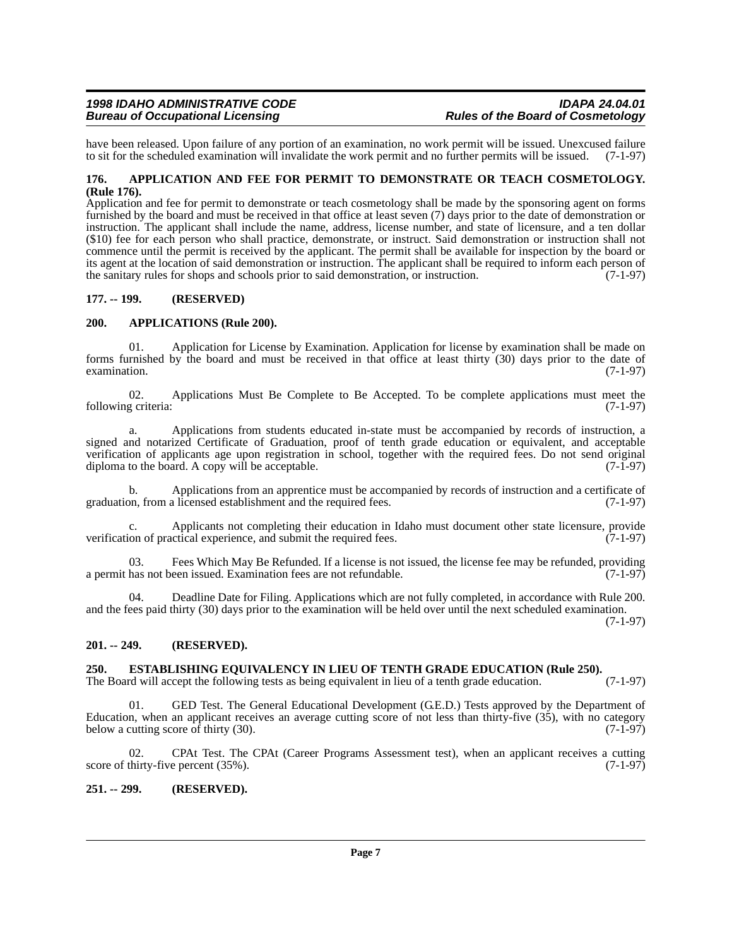have been released. Upon failure of any portion of an examination, no work permit will be issued. Unexcused failure to sit for the scheduled examination will invalidate the work permit and no further permits will be issued to sit for the scheduled examination will invalidate the work permit and no further permits will be issued.

#### <span id="page-6-0"></span>**176. APPLICATION AND FEE FOR PERMIT TO DEMONSTRATE OR TEACH COSMETOLOGY. (Rule 176).**

Application and fee for permit to demonstrate or teach cosmetology shall be made by the sponsoring agent on forms furnished by the board and must be received in that office at least seven (7) days prior to the date of demonstration or instruction. The applicant shall include the name, address, license number, and state of licensure, and a ten dollar (\$10) fee for each person who shall practice, demonstrate, or instruct. Said demonstration or instruction shall not commence until the permit is received by the applicant. The permit shall be available for inspection by the board or its agent at the location of said demonstration or instruction. The applicant shall be required to inform each person of the sanitary rules for shops and schools prior to said demonstration, or instruction. (7-1-97) the sanitary rules for shops and schools prior to said demonstration, or instruction.

#### <span id="page-6-1"></span>**177. -- 199. (RESERVED)**

#### <span id="page-6-2"></span>**200. APPLICATIONS (Rule 200).**

01. Application for License by Examination. Application for license by examination shall be made on forms furnished by the board and must be received in that office at least thirty (30) days prior to the date of  $\alpha$  examination. (7-1-97)

02. Applications Must Be Complete to Be Accepted. To be complete applications must meet the  $g$  criteria:  $(7-1-97)$ following criteria:

a. Applications from students educated in-state must be accompanied by records of instruction, a signed and notarized Certificate of Graduation, proof of tenth grade education or equivalent, and acceptable verification of applicants age upon registration in school, together with the required fees. Do not send original diploma to the board. A copy will be acceptable. (7-1-97) diploma to the board. A copy will be acceptable.

b. Applications from an apprentice must be accompanied by records of instruction and a certificate of graduation, from a licensed establishment and the required fees. (7-1-97)

Applicants not completing their education in Idaho must document other state licensure, provide verification of practical experience, and submit the required fees. (7-1-97)

03. Fees Which May Be Refunded. If a license is not issued, the license fee may be refunded, providing a permit has not been issued. Examination fees are not refundable. (7-1-97)

04. Deadline Date for Filing. Applications which are not fully completed, in accordance with Rule 200. and the fees paid thirty (30) days prior to the examination will be held over until the next scheduled examination.

(7-1-97)

#### <span id="page-6-3"></span>**201. -- 249. (RESERVED).**

### <span id="page-6-4"></span>**250. ESTABLISHING EQUIVALENCY IN LIEU OF TENTH GRADE EDUCATION (Rule 250).** The Board will accept the following tests as being equivalent in lieu of a tenth grade education. (7-1-97)

The Board will accept the following tests as being equivalent in lieu of a tenth grade education.

GED Test. The General Educational Development (G.E.D.) Tests approved by the Department of Education, when an applicant receives an average cutting score of not less than thirty-five  $(35)$ , with no category below a cutting score of thirty  $(30)$ .  $(7-1-97)$ below a cutting score of thirty  $(30)$ .

02. CPAt Test. The CPAt (Career Programs Assessment test), when an applicant receives a cutting score of thirty-five percent  $(35\%)$ .  $(7-1-97)$ 

#### <span id="page-6-5"></span>**251. -- 299. (RESERVED).**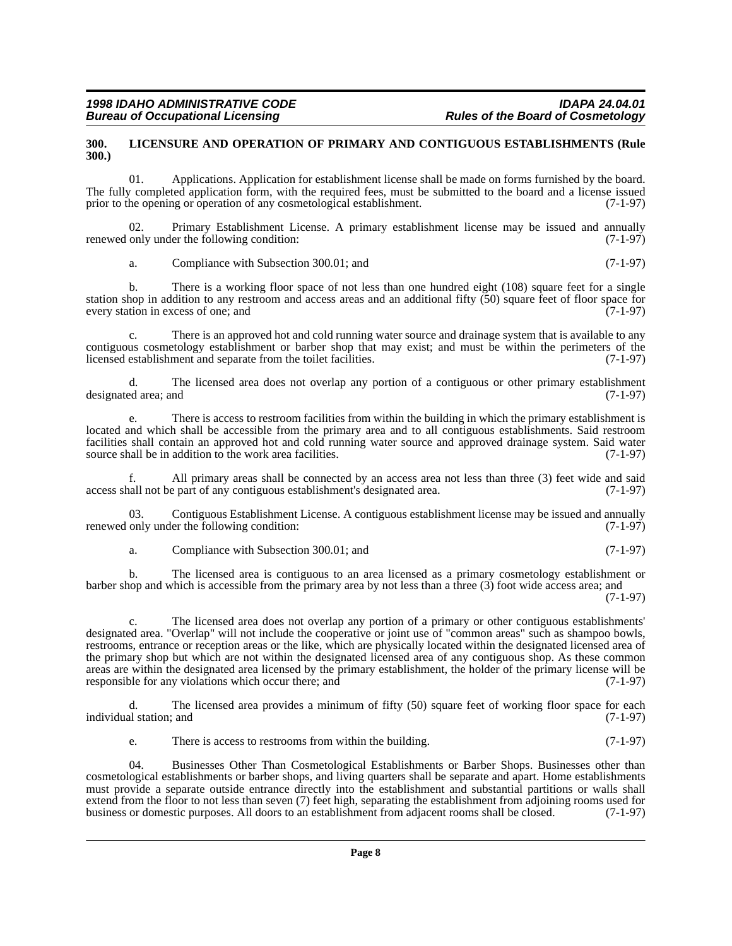#### <span id="page-7-0"></span>**300. LICENSURE AND OPERATION OF PRIMARY AND CONTIGUOUS ESTABLISHMENTS (Rule 300.)**

01. Applications. Application for establishment license shall be made on forms furnished by the board. The fully completed application form, with the required fees, must be submitted to the board and a license issued prior to the opening or operation of any cosmetological establishment. (7-1-97) prior to the opening or operation of any cosmetological establishment.

02. Primary Establishment License. A primary establishment license may be issued and annually only under the following condition: (7-1-97) renewed only under the following condition:

a. Compliance with Subsection 300.01; and (7-1-97)

b. There is a working floor space of not less than one hundred eight (108) square feet for a single station shop in addition to any restroom and access areas and an additional fifty (50) square feet of floor space for every station in excess of one; and (7-1-97)

c. There is an approved hot and cold running water source and drainage system that is available to any contiguous cosmetology establishment or barber shop that may exist; and must be within the perimeters of the licensed establishment and separate from the toilet facilities. (7-1-97)

d. The licensed area does not overlap any portion of a contiguous or other primary establishment ed area; and (7-1-97) designated area; and

e. There is access to restroom facilities from within the building in which the primary establishment is located and which shall be accessible from the primary area and to all contiguous establishments. Said restroom facilities shall contain an approved hot and cold running water source and approved drainage system. Said water source shall be in addition to the work area facilities. (7-1-97) source shall be in addition to the work area facilities.

All primary areas shall be connected by an access area not less than three  $(3)$  feet wide and said e part of any contiguous establishment's designated area.  $(7-1-97)$ access shall not be part of any contiguous establishment's designated area.

03. Contiguous Establishment License. A contiguous establishment license may be issued and annually only under the following condition: (7-1-97) renewed only under the following condition:

a. Compliance with Subsection 300.01; and (7-1-97)

b. The licensed area is contiguous to an area licensed as a primary cosmetology establishment or barber shop and which is accessible from the primary area by not less than a three (3) foot wide access area; and

(7-1-97)

c. The licensed area does not overlap any portion of a primary or other contiguous establishments' designated area. "Overlap" will not include the cooperative or joint use of "common areas" such as shampoo bowls, restrooms, entrance or reception areas or the like, which are physically located within the designated licensed area of the primary shop but which are not within the designated licensed area of any contiguous shop. As these common areas are within the designated area licensed by the primary establishment, the holder of the primary license will be responsible for any violations which occur there: and (7-1-97) responsible for any violations which occur there; and

d. The licensed area provides a minimum of fifty (50) square feet of working floor space for each individual station; and (7-1-97)

e. There is access to restrooms from within the building. (7-1-97)

04. Businesses Other Than Cosmetological Establishments or Barber Shops. Businesses other than cosmetological establishments or barber shops, and living quarters shall be separate and apart. Home establishments must provide a separate outside entrance directly into the establishment and substantial partitions or walls shall extend from the floor to not less than seven (7) feet high, separating the establishment from adjoining rooms used for business or domestic purposes. All doors to an establishment from adjacent rooms shall be closed. (7-1business or domestic purposes. All doors to an establishment from adjacent rooms shall be closed.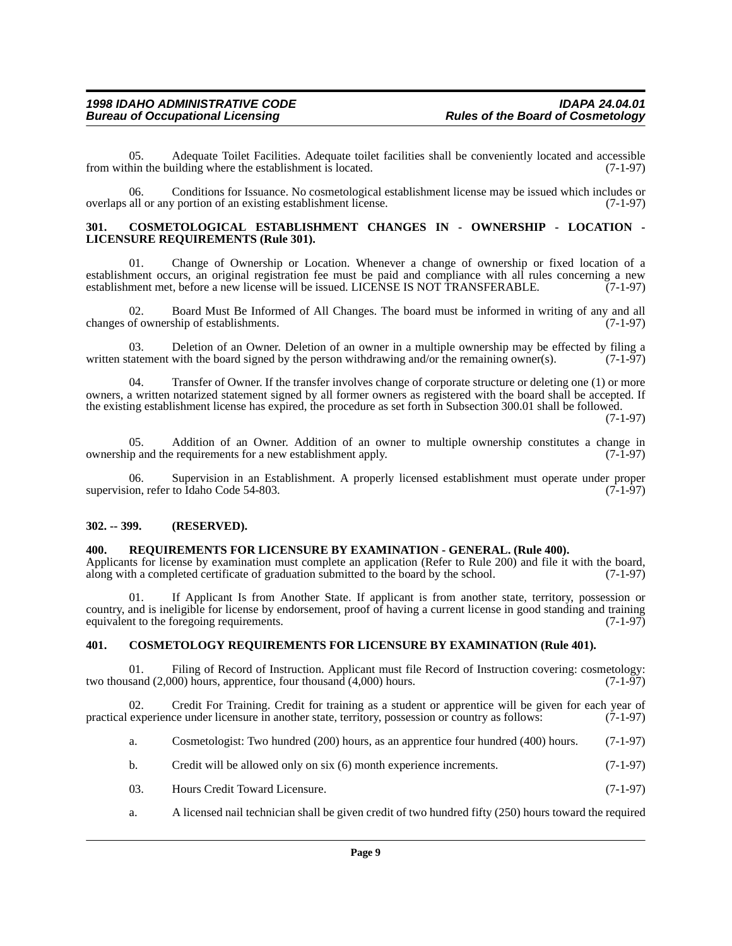05. Adequate Toilet Facilities. Adequate toilet facilities shall be conveniently located and accessible from within the building where the establishment is located. (7-1-97)

06. Conditions for Issuance. No cosmetological establishment license may be issued which includes or overlaps all or any portion of an existing establishment license. (7-1-97)

#### <span id="page-8-0"></span>**301. COSMETOLOGICAL ESTABLISHMENT CHANGES IN - OWNERSHIP - LOCATION - LICENSURE REQUIREMENTS (Rule 301).**

01. Change of Ownership or Location. Whenever a change of ownership or fixed location of a establishment occurs, an original registration fee must be paid and compliance with all rules concerning a new<br>establishment met, before a new license will be issued. LICENSE IS NOT TRANSFERABLE. (7-1-97) establishment met, before a new license will be issued. LICENSE IS NOT TRANSFERABLE.

02. Board Must Be Informed of All Changes. The board must be informed in writing of any and all of ownership of establishments. (7-1-97) changes of ownership of establishments.

03. Deletion of an Owner. Deletion of an owner in a multiple ownership may be effected by filing a written statement with the board signed by the person withdrawing and/or the remaining owner(s). (7-1-97)

04. Transfer of Owner. If the transfer involves change of corporate structure or deleting one (1) or more owners, a written notarized statement signed by all former owners as registered with the board shall be accepted. If the existing establishment license has expired, the procedure as set forth in Subsection 300.01 shall be followed.

(7-1-97)

05. Addition of an Owner. Addition of an owner to multiple ownership constitutes a change in up and the requirements for a new establishment apply. (7-1-97) ownership and the requirements for a new establishment apply.

Supervision in an Establishment. A properly licensed establishment must operate under proper to Idaho Code 54-803. supervision, refer to Idaho Code 54-803.

#### <span id="page-8-1"></span>**302. -- 399. (RESERVED).**

#### <span id="page-8-2"></span>**400. REQUIREMENTS FOR LICENSURE BY EXAMINATION - GENERAL. (Rule 400).**

Applicants for license by examination must complete an application (Refer to Rule 200) and file it with the board, along with a completed certificate of graduation submitted to the board by the school. (7-1-97)

01. If Applicant Is from Another State. If applicant is from another state, territory, possession or country, and is ineligible for license by endorsement, proof of having a current license in good standing and training equivalent to the foregoing requirements. equivalent to the foregoing requirements.

#### <span id="page-8-3"></span>**401. COSMETOLOGY REQUIREMENTS FOR LICENSURE BY EXAMINATION (Rule 401).**

01. Filing of Record of Instruction. Applicant must file Record of Instruction covering: cosmetology: sand (2.000) hours. (7-1-97) two thousand  $(2,000)$  hours, apprentice, four thousand  $(4,000)$  hours.

02. Credit For Training. Credit for training as a student or apprentice will be given for each year of practical experience under licensure in another state, territory, possession or country as follows: (7-1-97)

- a. Cosmetologist: Two hundred (200) hours, as an apprentice four hundred (400) hours. (7-1-97)
- b. Credit will be allowed only on six (6) month experience increments. (7-1-97)
- 03. Hours Credit Toward Licensure. (7-1-97)
- a. A licensed nail technician shall be given credit of two hundred fifty (250) hours toward the required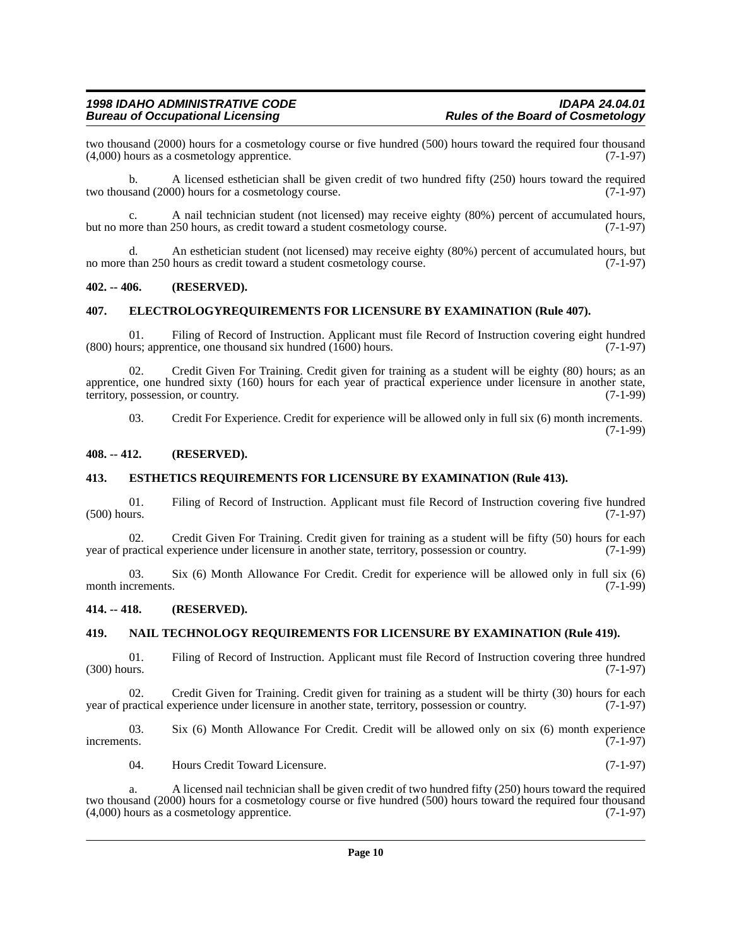two thousand (2000) hours for a cosmetology course or five hundred (500) hours toward the required four thousand (4.000) hours as a cosmetology apprentice.  $(7-1-97)$  $(4,000)$  hours as a cosmetology apprentice.

b. A licensed esthetician shall be given credit of two hundred fifty (250) hours toward the required two thousand (2000) hours for a cosmetology course. (7-1-97)

c. A nail technician student (not licensed) may receive eighty (80%) percent of accumulated hours, ore than 250 hours, as credit toward a student cosmetology course. (7-1-97) but no more than 250 hours, as credit toward a student cosmetology course.

d. An esthetician student (not licensed) may receive eighty (80%) percent of accumulated hours, but no more than 250 hours as credit toward a student cosmetology course. (7-1-97)

#### <span id="page-9-0"></span>**402. -- 406. (RESERVED).**

#### <span id="page-9-1"></span>**407. ELECTROLOGYREQUIREMENTS FOR LICENSURE BY EXAMINATION (Rule 407).**

01. Filing of Record of Instruction. Applicant must file Record of Instruction covering eight hundred urs; apprentice, one thousand six hundred (1600) hours. (7-1-97)  $(800)$  hours; apprentice, one thousand six hundred  $(1600)$  hours.

02. Credit Given For Training. Credit given for training as a student will be eighty (80) hours; as an apprentice, one hundred sixty (160) hours for each year of practical experience under licensure in another state, territory, possession, or country. (7-1-99) territory, possession, or country.

03. Credit For Experience. Credit for experience will be allowed only in full six (6) month increments. (7-1-99)

#### <span id="page-9-2"></span>**408. -- 412. (RESERVED).**

#### <span id="page-9-3"></span>**413. ESTHETICS REQUIREMENTS FOR LICENSURE BY EXAMINATION (Rule 413).**

01. Filing of Record of Instruction. Applicant must file Record of Instruction covering five hundred  $(500)$  hours.  $(7-1-97)$ 

02. Credit Given For Training. Credit given for training as a student will be fifty (50) hours for each ractical experience under licensure in another state, territory, possession or country. (7-1-99) year of practical experience under licensure in another state, territory, possession or country.

03. Six (6) Month Allowance For Credit. Credit for experience will be allowed only in full six (6) crements. (7-1-99) month increments.

#### <span id="page-9-4"></span>**414. -- 418. (RESERVED).**

#### <span id="page-9-5"></span>**419. NAIL TECHNOLOGY REQUIREMENTS FOR LICENSURE BY EXAMINATION (Rule 419).**

01. Filing of Record of Instruction. Applicant must file Record of Instruction covering three hundred urs. (7-1-97)  $(300)$  hours.

02. Credit Given for Training. Credit given for training as a student will be thirty (30) hours for each year of practical experience under licensure in another state, territory, possession or country. (7-1-97)

03. Six (6) Month Allowance For Credit. Credit will be allowed only on six (6) month experience increments. (7-1-97) increments.  $(7-1-97)$ 

04. Hours Credit Toward Licensure. (7-1-97)

a. A licensed nail technician shall be given credit of two hundred fifty (250) hours toward the required two thousand (2000) hours for a cosmetology course or five hundred (500) hours toward the required four thousand (4,000) hours as a cosmetology apprentice. (7-1-97)  $(4,000)$  hours as a cosmetology apprentice.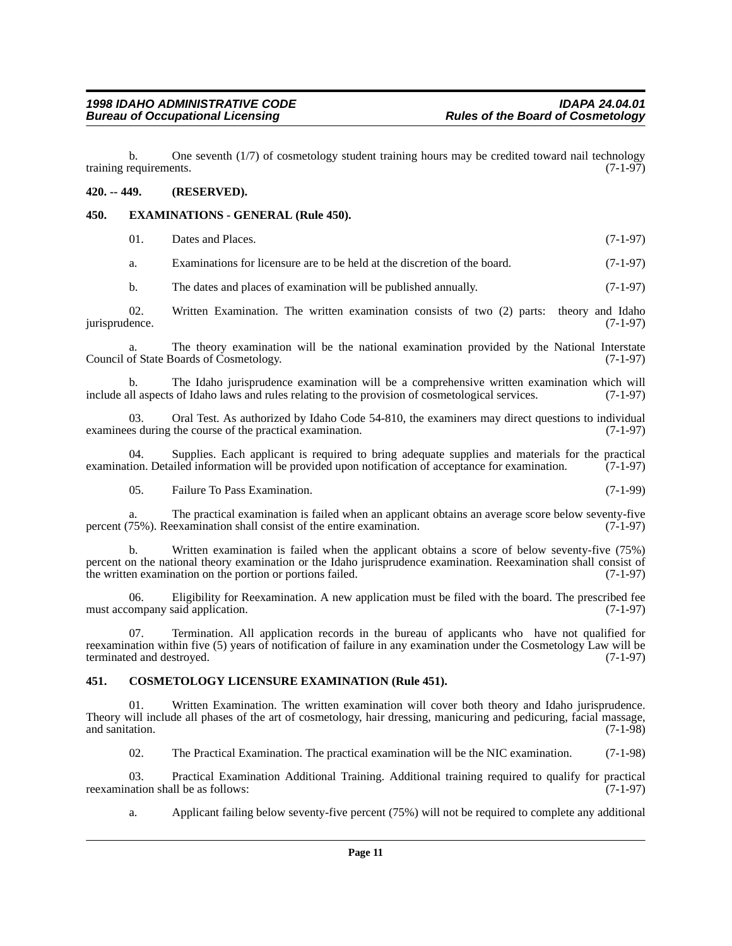b. One seventh  $(1/7)$  of cosmetology student training hours may be credited toward nail technology requirements.  $(7-1-97)$ training requirements.

#### <span id="page-10-0"></span>**420. -- 449. (RESERVED).**

#### <span id="page-10-1"></span>**450. EXAMINATIONS - GENERAL (Rule 450).**

| Dates and Places. | $(7-1-97)$ |
|-------------------|------------|
|                   |            |

a. Examinations for licensure are to be held at the discretion of the board. (7-1-97)

b. The dates and places of examination will be published annually. (7-1-97)

02. Written Examination. The written examination consists of two (2) parts: theory and Idaho (7-1-97) jurisprudence.

The theory examination will be the national examination provided by the National Interstate Council of State Boards of Cosmetology. (7-1-97)

b. The Idaho jurisprudence examination will be a comprehensive written examination which will aspects of Idaho laws and rules relating to the provision of cosmetological services. (7-1-97) include all aspects of Idaho laws and rules relating to the provision of cosmetological services.

03. Oral Test. As authorized by Idaho Code 54-810, the examiners may direct questions to individual examinees during the course of the practical examination. (7-1-97)

04. Supplies. Each applicant is required to bring adequate supplies and materials for the practical tion. Detailed information will be provided upon notification of acceptance for examination. (7-1-97) examination. Detailed information will be provided upon notification of acceptance for examination.

05. Failure To Pass Examination. (7-1-99)

a. The practical examination is failed when an applicant obtains an average score below seventy-five 75%). Reexamination shall consist of the entire examination. (7-1-97) percent  $(75%)$ . Reexamination shall consist of the entire examination.

b. Written examination is failed when the applicant obtains a score of below seventy-five (75%) percent on the national theory examination or the Idaho jurisprudence examination. Reexamination shall consist of the written examination on the portion or portions failed. (7-1-97)

06. Eligibility for Reexamination. A new application must be filed with the board. The prescribed fee ompany said application. (7-1-97) must accompany said application.

07. Termination. All application records in the bureau of applicants who have not qualified for reexamination within five (5) years of notification of failure in any examination under the Cosmetology Law will be terminated and destroyed.

#### <span id="page-10-2"></span>**451. COSMETOLOGY LICENSURE EXAMINATION (Rule 451).**

Written Examination. The written examination will cover both theory and Idaho jurisprudence. Theory will include all phases of the art of cosmetology, hair dressing, manicuring and pedicuring, facial massage, and sanitation. (7-1-98)

02. The Practical Examination. The practical examination will be the NIC examination. (7-1-98)

03. Practical Examination Additional Training. Additional training required to qualify for practical nation shall be as follows: (7-1-97) reexamination shall be as follows:

a. Applicant failing below seventy-five percent (75%) will not be required to complete any additional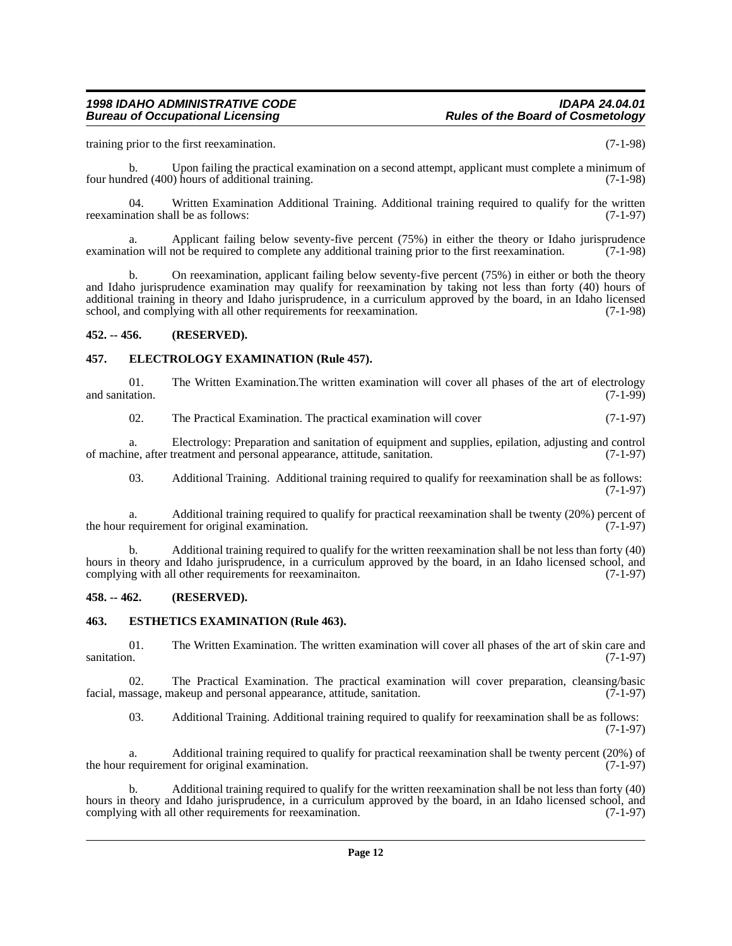training prior to the first reexamination. (7-1-98)

Upon failing the practical examination on a second attempt, applicant must complete a minimum of four hundred (400) hours of additional training. (7-1-98)

04. Written Examination Additional Training. Additional training required to qualify for the written varion shall be as follows: (7-1-97) reexamination shall be as follows:

a. Applicant failing below seventy-five percent (75%) in either the theory or Idaho jurisprudence examination will not be required to complete any additional training prior to the first reexamination. (7-1-98)

b. On reexamination, applicant failing below seventy-five percent (75%) in either or both the theory and Idaho jurisprudence examination may qualify for reexamination by taking not less than forty (40) hours of additional training in theory and Idaho jurisprudence, in a curriculum approved by the board, in an Idaho licensed school, and complying with all other requirements for reexamination. (7-1-98)

#### <span id="page-11-0"></span>**452. -- 456. (RESERVED).**

#### <span id="page-11-1"></span>**457. ELECTROLOGY EXAMINATION (Rule 457).**

01. The Written Examination. The written examination will cover all phases of the art of electrology (7-1-99) and sanitation.

02. The Practical Examination. The practical examination will cover (7-1-97)

a. Electrology: Preparation and sanitation of equipment and supplies, epilation, adjusting and control of machine, after treatment and personal appearance, attitude, sanitation.

03. Additional Training. Additional training required to qualify for reexamination shall be as follows: (7-1-97)

a. Additional training required to qualify for practical reexamination shall be twenty (20%) percent of requirement for original examination. (7-1-97) the hour requirement for original examination.

b. Additional training required to qualify for the written reexamination shall be not less than forty (40) hours in theory and Idaho jurisprudence, in a curriculum approved by the board, in an Idaho licensed school, and complying with all other requirements for reexamination. (7-1-97) complying with all other requirements for reexaminaiton.

#### <span id="page-11-2"></span>**458. -- 462. (RESERVED).**

#### <span id="page-11-3"></span>**463. ESTHETICS EXAMINATION (Rule 463).**

01. The Written Examination. The written examination will cover all phases of the art of skin care and sanitation. (7-1-97) sanitation.  $(7-1-97)$ 

02. The Practical Examination. The practical examination will cover preparation, cleansing/basic assage, makeup and personal appearance, attitude, sanitation. (7-1-97) facial, massage, makeup and personal appearance, attitude, sanitation.

03. Additional Training. Additional training required to qualify for reexamination shall be as follows: (7-1-97)

Additional training required to qualify for practical reexamination shall be twenty percent  $(20\%)$  of ent for original examination. the hour requirement for original examination.

b. Additional training required to qualify for the written reexamination shall be not less than forty (40) hours in theory and Idaho jurisprudence, in a curriculum approved by the board, in an Idaho licensed school, and complying with all other requirements for reexamination. (7-1-97) complying with all other requirements for reexamination.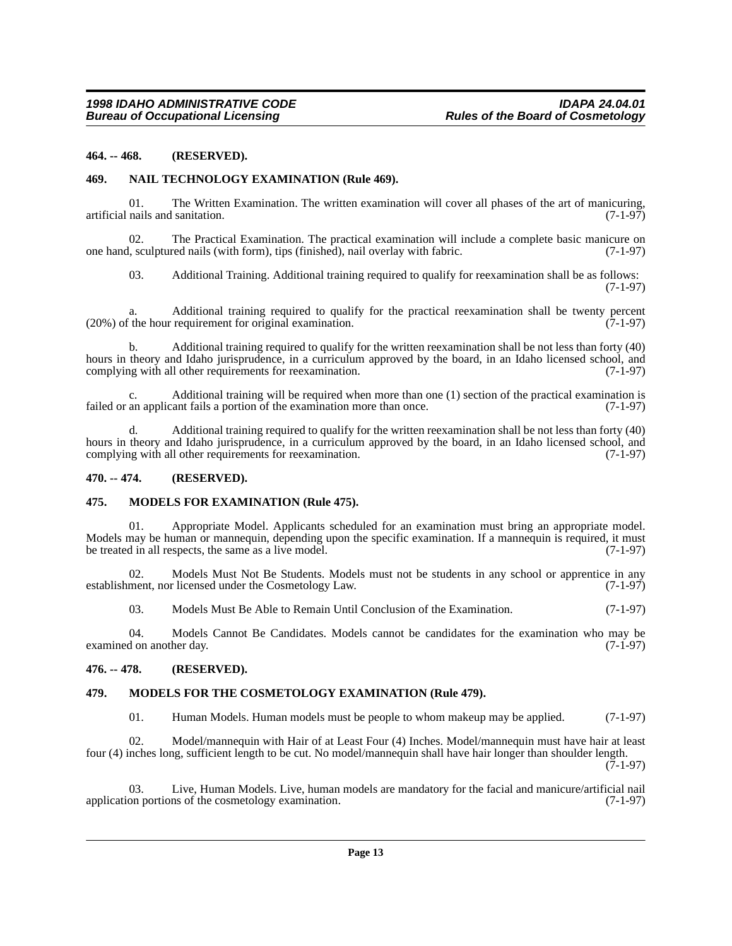#### <span id="page-12-0"></span>**464. -- 468. (RESERVED).**

#### <span id="page-12-1"></span>**469. NAIL TECHNOLOGY EXAMINATION (Rule 469).**

01. The Written Examination. The written examination will cover all phases of the art of manicuring, nails and sanitation. (7-1-97) artificial nails and sanitation.

02. The Practical Examination. The practical examination will include a complete basic manicure on one hand, sculptured nails (with form), tips (finished), nail overlay with fabric. (7-1-97)

03. Additional Training. Additional training required to qualify for reexamination shall be as follows: (7-1-97)

Additional training required to qualify for the practical reexamination shall be twenty percent requirement for original examination. (7-1-97)  $(20%)$  of the hour requirement for original examination.

b. Additional training required to qualify for the written reexamination shall be not less than forty (40) hours in theory and Idaho jurisprudence, in a curriculum approved by the board, in an Idaho licensed school, and complying with all other requirements for reexamination. (7-1-97) complying with all other requirements for reexamination.

c. Additional training will be required when more than one (1) section of the practical examination is an applicant fails a portion of the examination more than once. (7-1-97) failed or an applicant fails a portion of the examination more than once.

d. Additional training required to qualify for the written reexamination shall be not less than forty (40) hours in theory and Idaho jurisprudence, in a curriculum approved by the board, in an Idaho licensed school, and complying with all other requirements for reexamination. (7-1-97) complying with all other requirements for reexamination.

#### <span id="page-12-2"></span>**470. -- 474. (RESERVED).**

#### <span id="page-12-3"></span>**475. MODELS FOR EXAMINATION (Rule 475).**

Appropriate Model. Applicants scheduled for an examination must bring an appropriate model. Models may be human or mannequin, depending upon the specific examination. If a mannequin is required, it must<br>be treated in all respects, the same as a live model. (7-1-97) be treated in all respects, the same as a live model.

02. Models Must Not Be Students. Models must not be students in any school or apprentice in any ment, nor licensed under the Cosmetology Law. (7-1-97) establishment, nor licensed under the Cosmetology Law.

03. Models Must Be Able to Remain Until Conclusion of the Examination. (7-1-97)

04. Models Cannot Be Candidates. Models cannot be candidates for the examination who may be examined on another day. (7-1-97)

#### <span id="page-12-4"></span>**476. -- 478. (RESERVED).**

#### <span id="page-12-5"></span>**479. MODELS FOR THE COSMETOLOGY EXAMINATION (Rule 479).**

01. Human Models. Human models must be people to whom makeup may be applied. (7-1-97)

02. Model/mannequin with Hair of at Least Four (4) Inches. Model/mannequin must have hair at least four (4) inches long, sufficient length to be cut. No model/mannequin shall have hair longer than shoulder length. (7-1-97)

03. Live, Human Models. Live, human models are mandatory for the facial and manicure/artificial nail on portions of the cosmetology examination. (7-1-97) application portions of the cosmetology examination.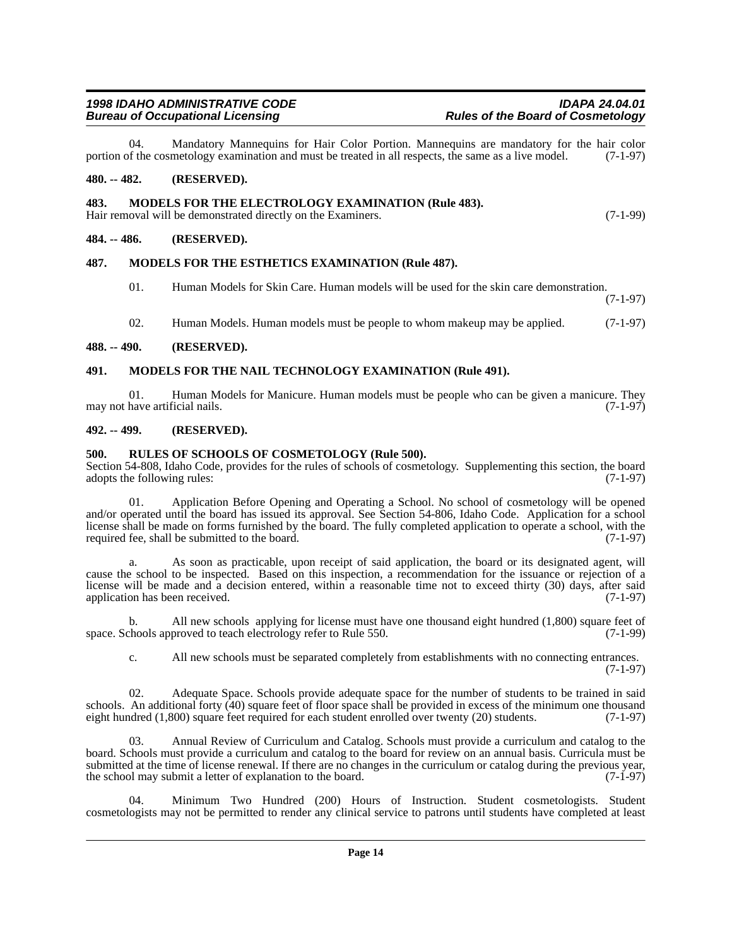04. Mandatory Mannequins for Hair Color Portion. Mannequins are mandatory for the hair color of the cosmetology examination and must be treated in all respects, the same as a live model. (7-1-97) portion of the cosmetology examination and must be treated in all respects, the same as a live model.

#### <span id="page-13-0"></span>**480. -- 482. (RESERVED).**

#### <span id="page-13-1"></span>**483. MODELS FOR THE ELECTROLOGY EXAMINATION (Rule 483).**

Hair removal will be demonstrated directly on the Examiners. (7-1-99)

#### <span id="page-13-2"></span>**484. -- 486. (RESERVED).**

#### <span id="page-13-3"></span>**487. MODELS FOR THE ESTHETICS EXAMINATION (Rule 487).**

- 01. Human Models for Skin Care. Human models will be used for the skin care demonstration. (7-1-97)
- 02. Human Models. Human models must be people to whom makeup may be applied. (7-1-97)

#### <span id="page-13-4"></span>**488. -- 490. (RESERVED).**

#### <span id="page-13-5"></span>**491. MODELS FOR THE NAIL TECHNOLOGY EXAMINATION (Rule 491).**

01. Human Models for Manicure. Human models must be people who can be given a manicure. They have artificial nails.  $(7-1-97)$ may not have artificial nails.

#### <span id="page-13-6"></span>**492. -- 499. (RESERVED).**

#### <span id="page-13-7"></span>**500. RULES OF SCHOOLS OF COSMETOLOGY (Rule 500).**

Section 54-808, Idaho Code, provides for the rules of schools of cosmetology. Supplementing this section, the board adopts the following rules: (7-1-97) adopts the following rules:

01. Application Before Opening and Operating a School. No school of cosmetology will be opened and/or operated until the board has issued its approval. See Section 54-806, Idaho Code. Application for a school license shall be made on forms furnished by the board. The fully completed application to operate a school, with the required fee, shall be submitted to the board. (7-1-97)

a. As soon as practicable, upon receipt of said application, the board or its designated agent, will cause the school to be inspected. Based on this inspection, a recommendation for the issuance or rejection of a license will be made and a decision entered, within a reasonable time not to exceed thirty (30) days, after said application has been received. (7-1-97)

b. All new schools applying for license must have one thousand eight hundred (1,800) square feet of space. Schools approved to teach electrology refer to Rule 550. (7-1-99)

c. All new schools must be separated completely from establishments with no connecting entrances. (7-1-97)

02. Adequate Space. Schools provide adequate space for the number of students to be trained in said schools. An additional forty (40) square feet of floor space shall be provided in excess of the minimum one thousand eight hundred (1,800) square feet required for each student enrolled over twenty (20) students. (7-1-97)

03. Annual Review of Curriculum and Catalog. Schools must provide a curriculum and catalog to the board. Schools must provide a curriculum and catalog to the board for review on an annual basis. Curricula must be submitted at the time of license renewal. If there are no changes in the curriculum or catalog during the previous year, the school may submit a letter of explanation to the board. (7-1-97) the school may submit a letter of explanation to the board.

04. Minimum Two Hundred (200) Hours of Instruction. Student cosmetologists. Student cosmetologists may not be permitted to render any clinical service to patrons until students have completed at least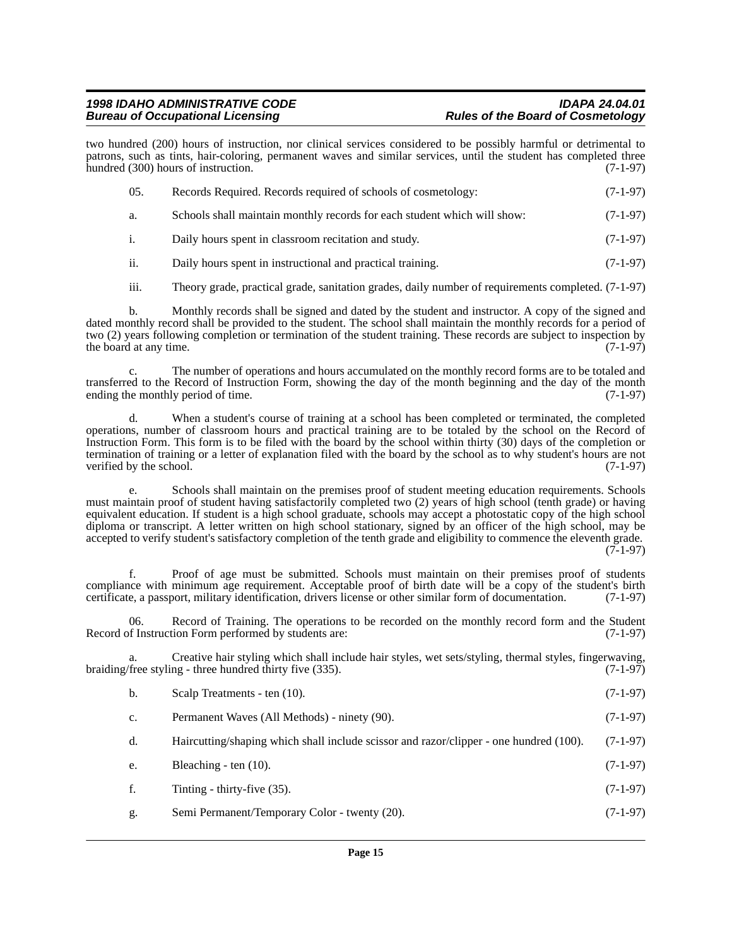two hundred (200) hours of instruction, nor clinical services considered to be possibly harmful or detrimental to patrons, such as tints, hair-coloring, permanent waves and similar services, until the student has completed three hundred (300) hours of instruction. (7-1-97)

| 05.            | Records Required. Records required of schools of cosmetology:            | $(7-1-97)$ |
|----------------|--------------------------------------------------------------------------|------------|
| a.             | Schools shall maintain monthly records for each student which will show: | $(7-1-97)$ |
| $\mathbf{i}$ . | Daily hours spent in classroom recitation and study.                     | $(7-1-97)$ |

ii. Daily hours spent in instructional and practical training. (7-1-97)

iii. Theory grade, practical grade, sanitation grades, daily number of requirements completed. (7-1-97)

b. Monthly records shall be signed and dated by the student and instructor. A copy of the signed and dated monthly record shall be provided to the student. The school shall maintain the monthly records for a period of two (2) years following completion or termination of the student training. These records are subject to inspection by the board at any time. the board at any time.

The number of operations and hours accumulated on the monthly record forms are to be totaled and transferred to the Record of Instruction Form, showing the day of the month beginning and the day of the month ending the monthly period of time. (7-1-97) ending the monthly period of time.

d. When a student's course of training at a school has been completed or terminated, the completed operations, number of classroom hours and practical training are to be totaled by the school on the Record of Instruction Form. This form is to be filed with the board by the school within thirty (30) days of the completion or termination of training or a letter of explanation filed with the board by the school as to why student's hours are not verified by the school. (7-1-97)

Schools shall maintain on the premises proof of student meeting education requirements. Schools must maintain proof of student having satisfactorily completed two (2) years of high school (tenth grade) or having equivalent education. If student is a high school graduate, schools may accept a photostatic copy of the high school diploma or transcript. A letter written on high school stationary, signed by an officer of the high school, may be accepted to verify student's satisfactory completion of the tenth grade and eligibility to commence the eleventh grade.  $(7-1-97)$ 

f. Proof of age must be submitted. Schools must maintain on their premises proof of students compliance with minimum age requirement. Acceptable proof of birth date will be a copy of the student's birth certificate, a passport, military identification, drivers license or other similar form of documentation. (7-1-97)

06. Record of Training. The operations to be recorded on the monthly record form and the Student Record of Instruction Form performed by students are: (7-1-97)

a. Creative hair styling which shall include hair styles, wet sets/styling, thermal styles, fingerwaving, (free styling - three hundred thirty five (335). braiding/free styling - three hundred thirty five (335).

| b.          | Scalp Treatments - ten (10).                 | $(7-1-97)$ |
|-------------|----------------------------------------------|------------|
| $c_{\cdot}$ | Permanent Waves (All Methods) - ninety (90). | $(7-1-97)$ |

- d. Haircutting/shaping which shall include scissor and razor/clipper one hundred (100). (7-1-97)
- e. Bleaching ten (10). (7-1-97)
- f. Tinting thirty-five (35). (7-1-97)
- g. Semi Permanent/Temporary Color twenty (20). (7-1-97)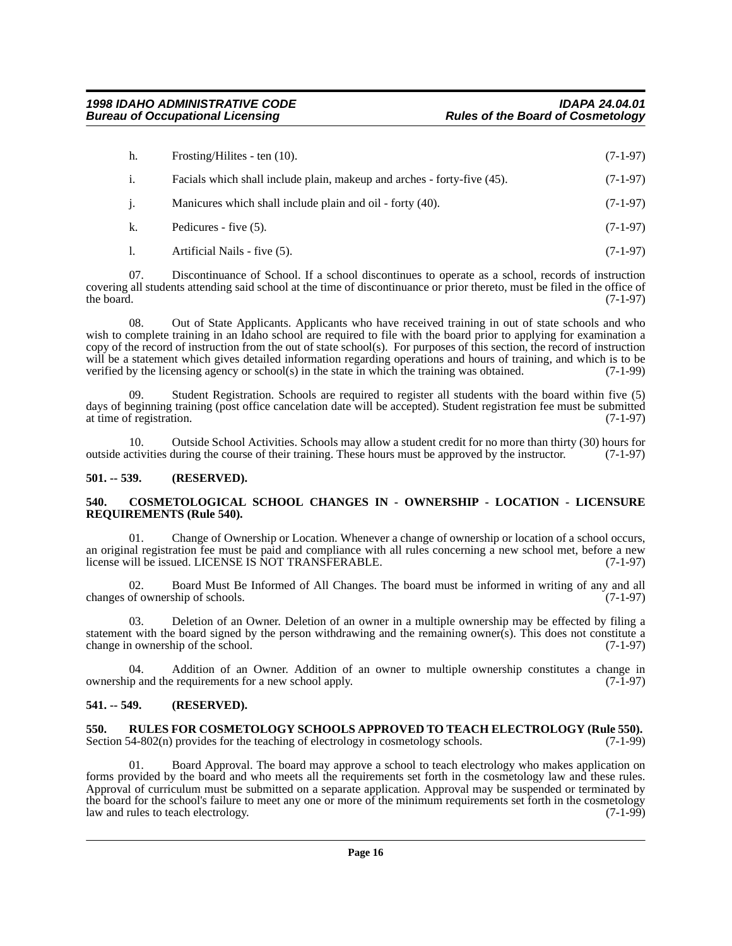| h.             | Frosting/Hilites - ten $(10)$ .                                         | $(7-1-97)$ |
|----------------|-------------------------------------------------------------------------|------------|
| <sup>1.</sup>  | Facials which shall include plain, makeup and arches - forty-five (45). | $(7-1-97)$ |
| $\mathbf{1}$ . | Manicures which shall include plain and oil - forty (40).               | $(7-1-97)$ |
| k.             | Pedicures - five (5).                                                   | $(7-1-97)$ |
|                | Artificial Nails - five (5).                                            | $(7-1-97)$ |

07. Discontinuance of School. If a school discontinues to operate as a school, records of instruction covering all students attending said school at the time of discontinuance or prior thereto, must be filed in the office of the board. (7-1-97) the board.  $(7-1-97)$ 

08. Out of State Applicants. Applicants who have received training in out of state schools and who wish to complete training in an Idaho school are required to file with the board prior to applying for examination a copy of the record of instruction from the out of state school(s). For purposes of this section, the record of instruction will be a statement which gives detailed information regarding operations and hours of training, and which is to be verified by the licensing agency or school(s) in the state in which the training was obtained. (7-1-99) verified by the licensing agency or school(s) in the state in which the training was obtained.

09. Student Registration. Schools are required to register all students with the board within five (5) days of beginning training (post office cancelation date will be accepted). Student registration fee must be submitted at time of registration. (7-1-97) at time of registration.

10. Outside School Activities. Schools may allow a student credit for no more than thirty (30) hours for ctivities during the course of their training. These hours must be approved by the instructor. (7-1-97) outside activities during the course of their training. These hours must be approved by the instructor.

#### <span id="page-15-0"></span>**501. -- 539. (RESERVED).**

#### <span id="page-15-1"></span>**540. COSMETOLOGICAL SCHOOL CHANGES IN - OWNERSHIP - LOCATION - LICENSURE REQUIREMENTS (Rule 540).**

01. Change of Ownership or Location. Whenever a change of ownership or location of a school occurs, an original registration fee must be paid and compliance with all rules concerning a new school met, before a new<br>license will be issued. LICENSE IS NOT TRANSFERABLE. (7-1-97) license will be issued. LICENSE IS NOT TRANSFERABLE.

02. Board Must Be Informed of All Changes. The board must be informed in writing of any and all of ownership of schools. (7-1-97) changes of ownership of schools.

03. Deletion of an Owner. Deletion of an owner in a multiple ownership may be effected by filing a statement with the board signed by the person withdrawing and the remaining owner(s). This does not constitute a change in ownership of the school. (7-1-97)

04. Addition of an Owner. Addition of an owner to multiple ownership constitutes a change in  $\mu$  in and the requirements for a new school apply. (7-1-97) ownership and the requirements for a new school apply.

#### <span id="page-15-2"></span>**541. -- 549. (RESERVED).**

<span id="page-15-3"></span>**550.** RULES FOR COSMETOLOGY SCHOOLS APPROVED TO TEACH ELECTROLOGY (Rule 550). Section 54-802(n) provides for the teaching of electrology in cosmetology schools. (7-1-99) Section 54-802(n) provides for the teaching of electrology in cosmetology schools.

01. Board Approval. The board may approve a school to teach electrology who makes application on forms provided by the board and who meets all the requirements set forth in the cosmetology law and these rules. Approval of curriculum must be submitted on a separate application. Approval may be suspended or terminated by the board for the school's failure to meet any one or more of the minimum requirements set forth in the cosmetology<br>law and rules to teach electrology. law and rules to teach electrology.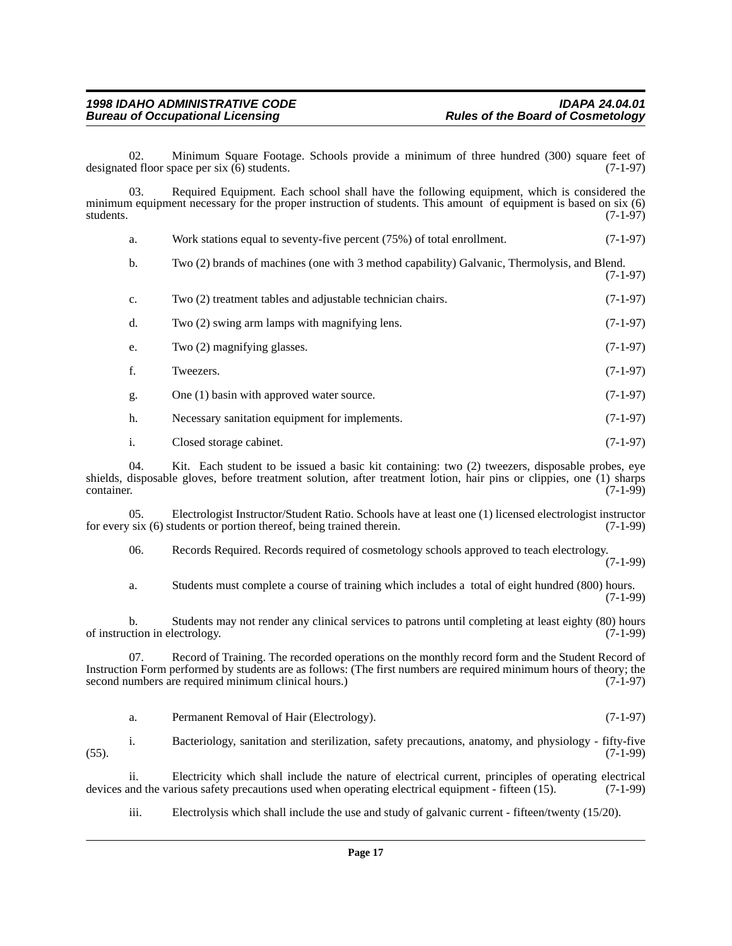02. Minimum Square Footage. Schools provide a minimum of three hundred (300) square feet of ed floor space per six (6) students. designated floor space per six  $(6)$  students.

03. Required Equipment. Each school shall have the following equipment, which is considered the minimum equipment necessary for the proper instruction of students. This amount of equipment is based on six (6) students. (7-1-97) students.  $(7-1-97)$ 

| a.             | Work stations equal to seventy-five percent (75%) of total enrollment.                      | $(7-1-97)$ |
|----------------|---------------------------------------------------------------------------------------------|------------|
| b.             | Two (2) brands of machines (one with 3 method capability) Galvanic, Thermolysis, and Blend. | $(7-1-97)$ |
| $\mathbf{c}$ . | Two (2) treatment tables and adjustable technician chairs.                                  | $(7-1-97)$ |
| d.             | Two (2) swing arm lamps with magnifying lens.                                               | $(7-1-97)$ |
| e.             | Two (2) magnifying glasses.                                                                 | $(7-1-97)$ |
| f.             | Tweezers.                                                                                   | $(7-1-97)$ |
| g.             | One (1) basin with approved water source.                                                   | $(7-1-97)$ |
| h.             | Necessary sanitation equipment for implements.                                              | $(7-1-97)$ |
| i.             | Closed storage cabinet.                                                                     | $(7-1-97)$ |

04. Kit. Each student to be issued a basic kit containing: two (2) tweezers, disposable probes, eye shields, disposable gloves, before treatment solution, after treatment lotion, hair pins or clippies, one (1) sharps container. (7-1-99) container. (7-1-99)

05. Electrologist Instructor/Student Ratio. Schools have at least one (1) licensed electrologist instructor is x (6) students or portion thereof, being trained therein. (7-1-99) for every six  $(6)$  students or portion thereof, being trained therein.

06. Records Required. Records required of cosmetology schools approved to teach electrology. (7-1-99)

a. Students must complete a course of training which includes a total of eight hundred (800) hours. (7-1-99)

b. Students may not render any clinical services to patrons until completing at least eighty (80) hours cion in electrology. (7-1-99) of instruction in electrology.

07. Record of Training. The recorded operations on the monthly record form and the Student Record of Instruction Form performed by students are as follows: (The first numbers are required minimum hours of theory; the second numbers are required minimum clinical hours.)

|  | Permanent Removal of Hair (Electrology). | $(7-1-97)$ |
|--|------------------------------------------|------------|
|--|------------------------------------------|------------|

i. Bacteriology, sanitation and sterilization, safety precautions, anatomy, and physiology - fifty-five (55). (7-1-99)

ii. Electricity which shall include the nature of electrical current, principles of operating electrical and the various safety precautions used when operating electrical equipment - fifteen (15). (7-1-99) devices and the various safety precautions used when operating electrical equipment - fifteen (15).

iii. Electrolysis which shall include the use and study of galvanic current - fifteen/twenty (15/20).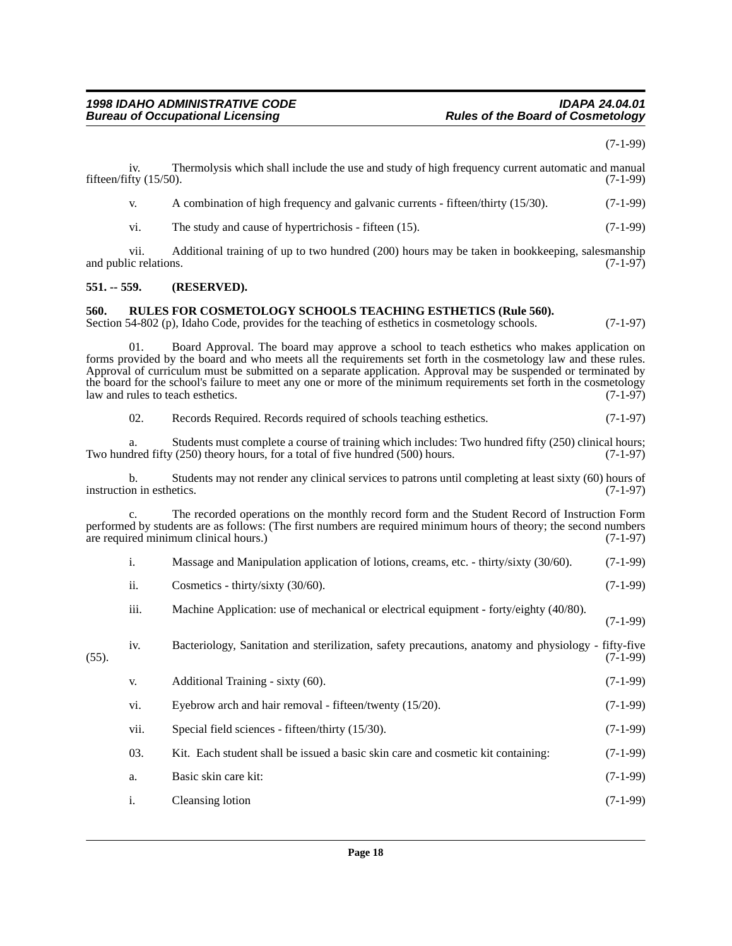(7-1-99)

<span id="page-17-1"></span><span id="page-17-0"></span>

|               | iv.<br>fifteen/fifty (15/50).   | Thermolysis which shall include the use and study of high frequency current automatic and manual                                                                                                                                                                                                                                                                                                                                                                                             | $(7-1-99)$ |
|---------------|---------------------------------|----------------------------------------------------------------------------------------------------------------------------------------------------------------------------------------------------------------------------------------------------------------------------------------------------------------------------------------------------------------------------------------------------------------------------------------------------------------------------------------------|------------|
|               | V.                              | A combination of high frequency and galvanic currents - fifteen/thirty (15/30).                                                                                                                                                                                                                                                                                                                                                                                                              | $(7-1-99)$ |
|               | vi.                             | The study and cause of hypertrichosis - fifteen (15).                                                                                                                                                                                                                                                                                                                                                                                                                                        | $(7-1-99)$ |
|               | vii.<br>and public relations.   | Additional training of up to two hundred (200) hours may be taken in bookkeeping, salesmanship                                                                                                                                                                                                                                                                                                                                                                                               | $(7-1-97)$ |
| $551. - 559.$ |                                 | (RESERVED).                                                                                                                                                                                                                                                                                                                                                                                                                                                                                  |            |
| 560.          |                                 | <b>RULES FOR COSMETOLOGY SCHOOLS TEACHING ESTHETICS (Rule 560).</b><br>Section 54-802 (p), Idaho Code, provides for the teaching of esthetics in cosmetology schools.                                                                                                                                                                                                                                                                                                                        | $(7-1-97)$ |
|               | 01.                             | Board Approval. The board may approve a school to teach esthetics who makes application on<br>forms provided by the board and who meets all the requirements set forth in the cosmetology law and these rules.<br>Approval of curriculum must be submitted on a separate application. Approval may be suspended or terminated by<br>the board for the school's failure to meet any one or more of the minimum requirements set forth in the cosmetology<br>law and rules to teach esthetics. | $(7-1-97)$ |
|               | 02.                             | Records Required. Records required of schools teaching esthetics.                                                                                                                                                                                                                                                                                                                                                                                                                            | $(7-1-97)$ |
|               | a.                              | Students must complete a course of training which includes: Two hundred fifty (250) clinical hours;<br>Two hundred fifty $(250)$ theory hours, for a total of five hundred $(500)$ hours.                                                                                                                                                                                                                                                                                                    | $(7-1-97)$ |
|               | b.<br>instruction in esthetics. | Students may not render any clinical services to patrons until completing at least sixty (60) hours of                                                                                                                                                                                                                                                                                                                                                                                       | $(7-1-97)$ |
|               | c.                              | The recorded operations on the monthly record form and the Student Record of Instruction Form<br>performed by students are as follows: (The first numbers are required minimum hours of theory; the second numbers<br>are required minimum clinical hours.)                                                                                                                                                                                                                                  | $(7-1-97)$ |
|               | i.                              | Massage and Manipulation application of lotions, creams, etc. - thirty/sixty (30/60).                                                                                                                                                                                                                                                                                                                                                                                                        | $(7-1-99)$ |
|               | ii.                             | Cosmetics - thirty/sixty (30/60).                                                                                                                                                                                                                                                                                                                                                                                                                                                            | $(7-1-99)$ |
|               | iii.                            | Machine Application: use of mechanical or electrical equipment - forty/eighty (40/80).                                                                                                                                                                                                                                                                                                                                                                                                       | $(7-1-99)$ |
| $(55)$ .      | iv.                             | Bacteriology, Sanitation and sterilization, safety precautions, anatomy and physiology - fifty-five                                                                                                                                                                                                                                                                                                                                                                                          | $(7-1-99)$ |
|               | V.                              | Additional Training - sixty (60).                                                                                                                                                                                                                                                                                                                                                                                                                                                            | $(7-1-99)$ |
|               | vi.                             | Eyebrow arch and hair removal - fifteen/twenty (15/20).                                                                                                                                                                                                                                                                                                                                                                                                                                      | $(7-1-99)$ |
|               | vii.                            | Special field sciences - fifteen/thirty (15/30).                                                                                                                                                                                                                                                                                                                                                                                                                                             | $(7-1-99)$ |
|               | 03.                             | Kit. Each student shall be issued a basic skin care and cosmetic kit containing:                                                                                                                                                                                                                                                                                                                                                                                                             | $(7-1-99)$ |
|               | a.                              | Basic skin care kit:                                                                                                                                                                                                                                                                                                                                                                                                                                                                         | $(7-1-99)$ |
|               | i.                              | Cleansing lotion                                                                                                                                                                                                                                                                                                                                                                                                                                                                             | $(7-1-99)$ |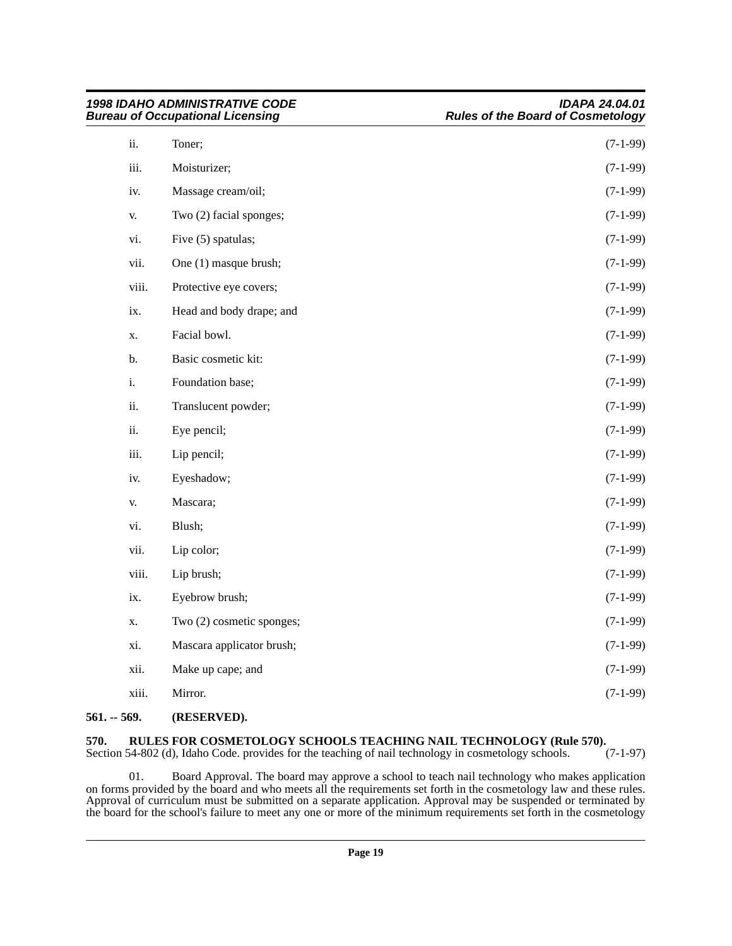| <b>1998 IDAHO ADMINISTRATIVE CODE</b><br><b>Bureau of Occupational Licensing</b> |                           | <b>IDAPA 24.04.01</b><br><b>Rules of the Board of Cosmetology</b> |
|----------------------------------------------------------------------------------|---------------------------|-------------------------------------------------------------------|
| ii.                                                                              | Toner;                    | $(7-1-99)$                                                        |
| iii.                                                                             | Moisturizer;              | $(7-1-99)$                                                        |
| iv.                                                                              | Massage cream/oil;        | $(7-1-99)$                                                        |
| V.                                                                               | Two (2) facial sponges;   | $(7-1-99)$                                                        |
| vi.                                                                              | Five (5) spatulas;        | $(7-1-99)$                                                        |
| vii.                                                                             | One (1) masque brush;     | $(7-1-99)$                                                        |
| viii.                                                                            | Protective eye covers;    | $(7-1-99)$                                                        |
| ix.                                                                              | Head and body drape; and  | $(7-1-99)$                                                        |
| X.                                                                               | Facial bowl.              | $(7-1-99)$                                                        |
| b.                                                                               | Basic cosmetic kit:       | $(7-1-99)$                                                        |
| i.                                                                               | Foundation base;          | $(7-1-99)$                                                        |
| ii.                                                                              | Translucent powder;       | $(7-1-99)$                                                        |
| ii.                                                                              | Eye pencil;               | $(7-1-99)$                                                        |
| iii.                                                                             | Lip pencil;               | $(7-1-99)$                                                        |
| iv.                                                                              | Eyeshadow;                | $(7-1-99)$                                                        |
| V.                                                                               | Mascara;                  | $(7-1-99)$                                                        |
| vi.                                                                              | Blush;                    | $(7-1-99)$                                                        |
| vii.                                                                             | Lip color;                | $(7-1-99)$                                                        |
| viii.                                                                            | Lip brush;                | $(7-1-99)$                                                        |
| ix.                                                                              | Eyebrow brush;            | $(7-1-99)$                                                        |
| X.                                                                               | Two (2) cosmetic sponges; | $(7-1-99)$                                                        |
| xi.                                                                              | Mascara applicator brush; | $(7-1-99)$                                                        |
| xii.                                                                             | Make up cape; and         | $(7-1-99)$                                                        |
| xiii.                                                                            | Mirror.                   | $(7-1-99)$                                                        |
|                                                                                  |                           |                                                                   |

#### <span id="page-18-0"></span>**561. -- 569. (RESERVED).**

#### <span id="page-18-1"></span>**570. RULES FOR COSMETOLOGY SCHOOLS TEACHING NAIL TECHNOLOGY (Rule 570).**

Section 54-802 (d), Idaho Code. provides for the teaching of nail technology in cosmetology schools. (7-1-97)

01. Board Approval. The board may approve a school to teach nail technology who makes application on forms provided by the board and who meets all the requirements set forth in the cosmetology law and these rules. Approval of curriculum must be submitted on a separate application. Approval may be suspended or terminated by the board for the school's failure to meet any one or more of the minimum requirements set forth in the cosmetology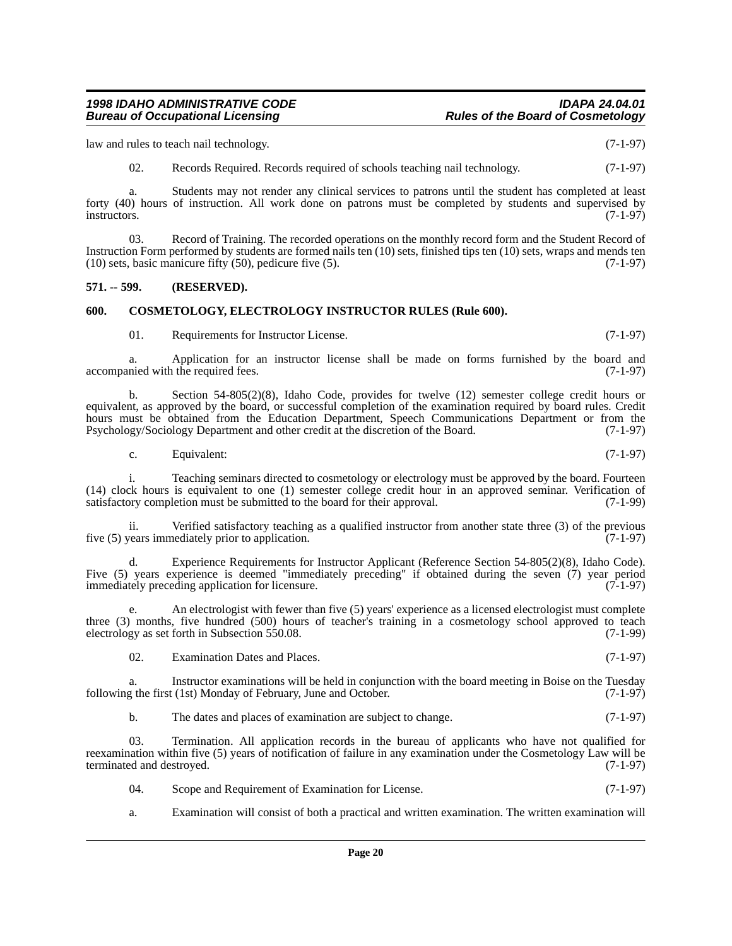law and rules to teach nail technology. (7-1-97)

02. Records Required. Records required of schools teaching nail technology. (7-1-97)

a. Students may not render any clinical services to patrons until the student has completed at least forty (40) hours of instruction. All work done on patrons must be completed by students and supervised by instructors. (7-1-97) instructors. (7-1-97)

03. Record of Training. The recorded operations on the monthly record form and the Student Record of Instruction Form performed by students are formed nails ten (10) sets, finished tips ten (10) sets, wraps and mends ten (10) sets, basic manicure fifty (50), pedicure five (5). (7-1-97)

#### <span id="page-19-0"></span>**571. -- 599. (RESERVED).**

#### <span id="page-19-1"></span>**600. COSMETOLOGY, ELECTROLOGY INSTRUCTOR RULES (Rule 600).**

01. Requirements for Instructor License. (7-1-97)

a. Application for an instructor license shall be made on forms furnished by the board and nied with the required fees. (7-1-97) accompanied with the required fees.

b. Section 54-805(2)(8), Idaho Code, provides for twelve (12) semester college credit hours or equivalent, as approved by the board, or successful completion of the examination required by board rules. Credit hours must be obtained from the Education Department, Speech Communications Department or from the Psychology/Sociology Department and other credit at the discretion of the Board. (7-1-97)

c. Equivalent:  $(7-1-97)$ 

i. Teaching seminars directed to cosmetology or electrology must be approved by the board. Fourteen (14) clock hours is equivalent to one (1) semester college credit hour in an approved seminar. Verification of satisfactory completion must be submitted to the board for their approval.

ii. Verified satisfactory teaching as a qualified instructor from another state three (3) of the previous five (5) years immediately prior to application. (7-1-97)

d. Experience Requirements for Instructor Applicant (Reference Section 54-805(2)(8), Idaho Code). Five (5) years experience is deemed "immediately preceding" if obtained during the seven (7) year period immediately preceding application for licensure. (7-1-97) immediately preceding application for licensure.

e. An electrologist with fewer than five (5) years' experience as a licensed electrologist must complete three (3) months, five hundred (500) hours of teacher's training in a cosmetology school approved to teach electrology as set forth in Subsection 550.08. (7-1-99) electrology as set forth in Subsection 550.08.

02. Examination Dates and Places. (7-1-97)

a. Instructor examinations will be held in conjunction with the board meeting in Boise on the Tuesday g the first (1st) Monday of February, June and October. (7-1-97) following the first (1st) Monday of February, June and October.

b. The dates and places of examination are subject to change. (7-1-97)

03. Termination. All application records in the bureau of applicants who have not qualified for reexamination within five (5) years of notification of failure in any examination under the Cosmetology Law will be terminated and destroyed. (7-1-97)

04. Scope and Requirement of Examination for License. (7-1-97)

a. Examination will consist of both a practical and written examination. The written examination will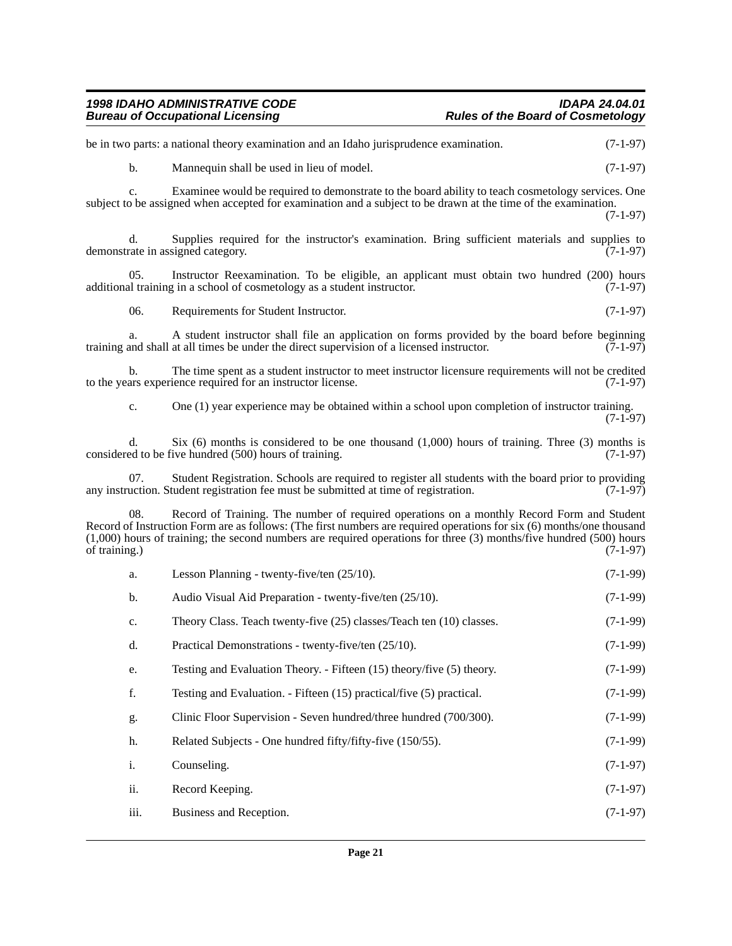| Page 21                                 |                                                                                                                                                                                                                                                                                                                                                  |            |  |
|-----------------------------------------|--------------------------------------------------------------------------------------------------------------------------------------------------------------------------------------------------------------------------------------------------------------------------------------------------------------------------------------------------|------------|--|
| iii.                                    | Business and Reception.                                                                                                                                                                                                                                                                                                                          | $(7-1-97)$ |  |
| ii.                                     | Record Keeping.                                                                                                                                                                                                                                                                                                                                  | $(7-1-97)$ |  |
| i.                                      | Counseling.                                                                                                                                                                                                                                                                                                                                      | $(7-1-97)$ |  |
| h.                                      | Related Subjects - One hundred fifty/fifty-five (150/55).                                                                                                                                                                                                                                                                                        | $(7-1-99)$ |  |
| g.                                      | Clinic Floor Supervision - Seven hundred/three hundred (700/300).                                                                                                                                                                                                                                                                                | $(7-1-99)$ |  |
| f.                                      | Testing and Evaluation. - Fifteen (15) practical/five (5) practical.                                                                                                                                                                                                                                                                             | $(7-1-99)$ |  |
| e.                                      | Testing and Evaluation Theory. - Fifteen (15) theory/five (5) theory.                                                                                                                                                                                                                                                                            | $(7-1-99)$ |  |
| d.                                      | Practical Demonstrations - twenty-five/ten (25/10).                                                                                                                                                                                                                                                                                              | $(7-1-99)$ |  |
| c.                                      | Theory Class. Teach twenty-five (25) classes/Teach ten (10) classes.                                                                                                                                                                                                                                                                             | $(7-1-99)$ |  |
| b.                                      | Audio Visual Aid Preparation - twenty-five/ten (25/10).                                                                                                                                                                                                                                                                                          | $(7-1-99)$ |  |
| a.                                      | Lesson Planning - twenty-five/ten (25/10).                                                                                                                                                                                                                                                                                                       | $(7-1-99)$ |  |
| 08.<br>of training.)                    | Record of Training. The number of required operations on a monthly Record Form and Student<br>Record of Instruction Form are as follows: (The first numbers are required operations for six (6) months/one thousand<br>$(1,000)$ hours of training; the second numbers are required operations for three $(3)$ months/five hundred $(500)$ hours | $(7-1-97)$ |  |
| 07.                                     | Student Registration. Schools are required to register all students with the board prior to providing<br>any instruction. Student registration fee must be submitted at time of registration.                                                                                                                                                    | $(7-1-97)$ |  |
| d.                                      | Six $(6)$ months is considered to be one thousand $(1,000)$ hours of training. Three $(3)$ months is<br>considered to be five hundred (500) hours of training.                                                                                                                                                                                   | $(7-1-97)$ |  |
| c.                                      | One (1) year experience may be obtained within a school upon completion of instructor training.                                                                                                                                                                                                                                                  | $(7-1-97)$ |  |
| $\mathbf{b}$ .                          | The time spent as a student instructor to meet instructor licensure requirements will not be credited<br>to the years experience required for an instructor license.                                                                                                                                                                             | $(7-1-97)$ |  |
| a.                                      | A student instructor shall file an application on forms provided by the board before beginning<br>training and shall at all times be under the direct supervision of a licensed instructor.                                                                                                                                                      | $(7-1-97)$ |  |
| 06.                                     | Requirements for Student Instructor.                                                                                                                                                                                                                                                                                                             | $(7-1-97)$ |  |
| 05.                                     | Instructor Reexamination. To be eligible, an applicant must obtain two hundred (200) hours<br>additional training in a school of cosmetology as a student instructor.                                                                                                                                                                            | $(7-1-97)$ |  |
| d.<br>demonstrate in assigned category. | Supplies required for the instructor's examination. Bring sufficient materials and supplies to                                                                                                                                                                                                                                                   | $(7-1-97)$ |  |
|                                         | subject to be assigned when accepted for examination and a subject to be drawn at the time of the examination.                                                                                                                                                                                                                                   | $(7-1-97)$ |  |
| c.                                      | Examinee would be required to demonstrate to the board ability to teach cosmetology services. One                                                                                                                                                                                                                                                |            |  |
| $\mathbf{b}$ .                          | Mannequin shall be used in lieu of model.                                                                                                                                                                                                                                                                                                        | $(7-1-97)$ |  |
|                                         | be in two parts: a national theory examination and an Idaho jurisprudence examination.                                                                                                                                                                                                                                                           | $(7-1-97)$ |  |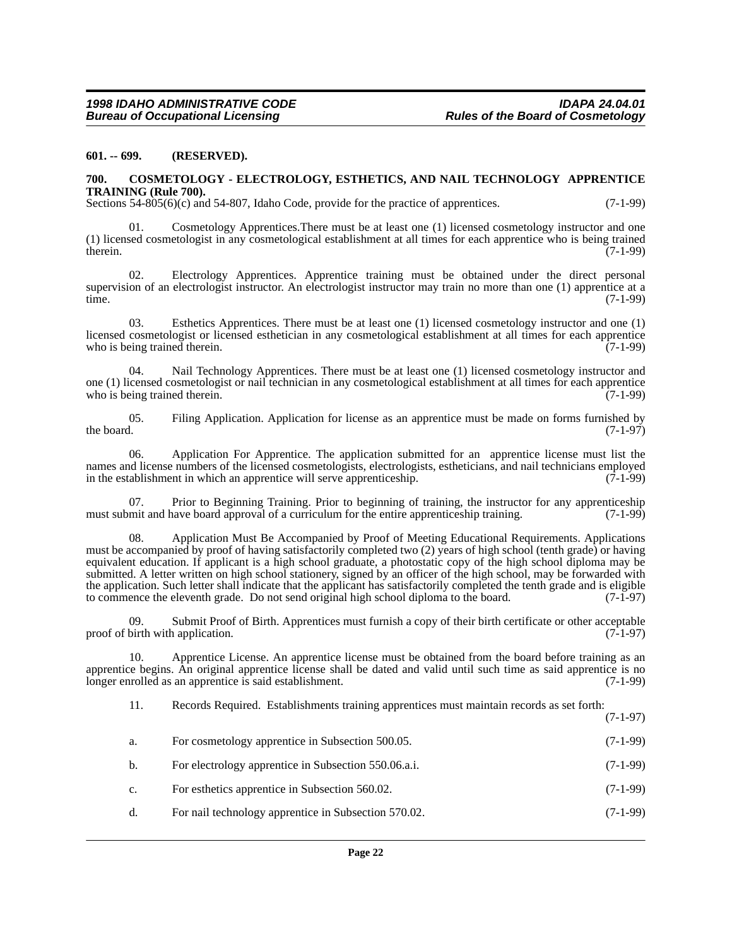#### <span id="page-21-0"></span>**601. -- 699. (RESERVED).**

#### <span id="page-21-1"></span>**700. COSMETOLOGY - ELECTROLOGY, ESTHETICS, AND NAIL TECHNOLOGY APPRENTICE TRAINING (Rule 700).**

Sections 54-805(6)(c) and 54-807, Idaho Code, provide for the practice of apprentices. (7-1-99)

Cosmetology Apprentices. There must be at least one (1) licensed cosmetology instructor and one (1) licensed cosmetologist in any cosmetological establishment at all times for each apprentice who is being trained therein.  $(7-1-99)$ 

02. Electrology Apprentices. Apprentice training must be obtained under the direct personal supervision of an electrologist instructor. An electrologist instructor may train no more than one (1) apprentice at a time. time. (7-1-99)

03. Esthetics Apprentices. There must be at least one (1) licensed cosmetology instructor and one (1) licensed cosmetologist or licensed esthetician in any cosmetological establishment at all times for each apprentice<br>who is being trained therein. (7-1-99) who is being trained therein.

04. Nail Technology Apprentices. There must be at least one (1) licensed cosmetology instructor and one (1) licensed cosmetologist or nail technician in any cosmetological establishment at all times for each apprentice who is being trained therein.

05. Filing Application. Application for license as an apprentice must be made on forms furnished by the board. (7-1-97) the board.  $(7-1-97)$ 

06. Application For Apprentice. The application submitted for an apprentice license must list the names and license numbers of the licensed cosmetologists, electrologists, estheticians, and nail technicians employed<br>in the establishment in which an apprentice will serve apprenticeship. (7-1-99) in the establishment in which an apprentice will serve apprenticeship.

07. Prior to Beginning Training. Prior to beginning of training, the instructor for any apprenticeship mit and have board approval of a curriculum for the entire apprenticeship training. (7-1-99) must submit and have board approval of a curriculum for the entire apprenticeship training.

08. Application Must Be Accompanied by Proof of Meeting Educational Requirements. Applications must be accompanied by proof of having satisfactorily completed two (2) years of high school (tenth grade) or having equivalent education. If applicant is a high school graduate, a photostatic copy of the high school diploma may be submitted. A letter written on high school stationery, signed by an officer of the high school, may be forwarded with the application. Such letter shall indicate that the applicant has satisfactorily completed the tenth grade and is eligible to commence the eleventh grade. Do not send original high school diploma to the board. (7-1-97)

09. Submit Proof of Birth. Apprentices must furnish a copy of their birth certificate or other acceptable birth with application. (7-1-97) proof of birth with application.

10. Apprentice License. An apprentice license must be obtained from the board before training as an apprentice begins. An original apprentice license shall be dated and valid until such time as said apprentice is no longer enrolled as an apprentice is said establishment. longer enrolled as an apprentice is said establishment.

11. Records Required. Establishments training apprentices must maintain records as set forth: (7-1-97)

| a.             | For cosmetology apprentice in Subsection 500.05.     | $(7-1-99)$ |
|----------------|------------------------------------------------------|------------|
| b.             | For electrology apprentice in Subsection 550.06.a.i. | $(7-1-99)$ |
| $\mathbf{c}$ . | For esthetics apprentice in Subsection 560.02.       | $(7-1-99)$ |
| d.             | For nail technology apprentice in Subsection 570.02. | $(7-1-99)$ |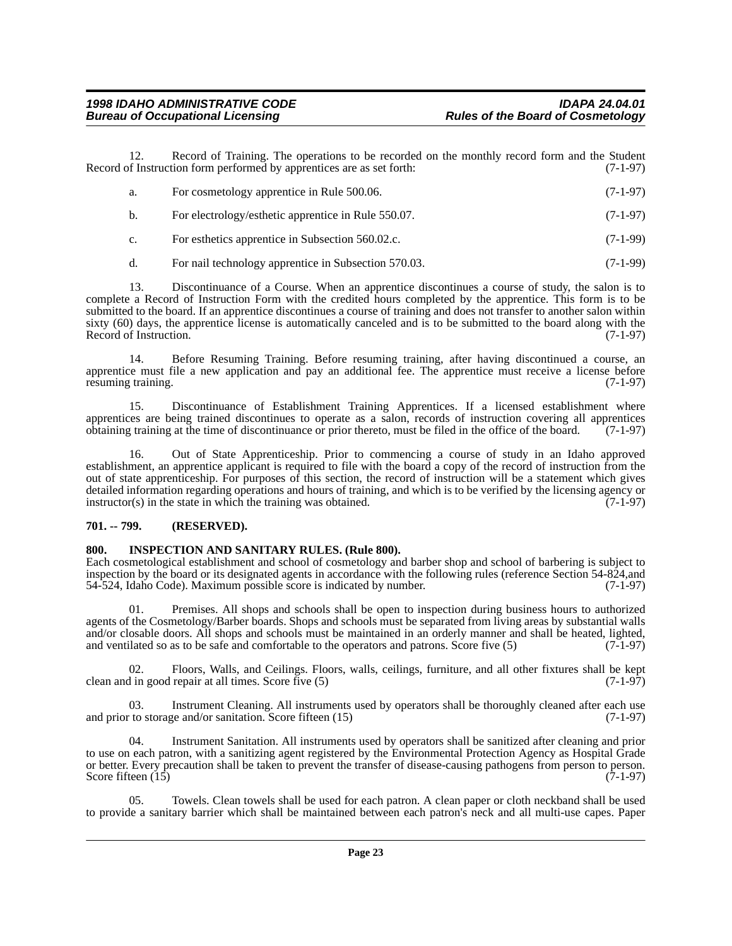12. Record of Training. The operations to be recorded on the monthly record form and the Student of Instruction form performed by apprentices are as set forth: (7-1-97) Record of Instruction form performed by apprentices are as set forth:

| а.             | For cosmetology apprentice in Rule 500.06.           | $(7-1-97)$ |
|----------------|------------------------------------------------------|------------|
| b.             | For electrology/esthetic apprentice in Rule 550.07.  | $(7-1-97)$ |
| $\mathbf{c}$ . | For esthetics apprentice in Subsection 560.02.c.     | $(7-1-99)$ |
| d.             | For nail technology apprentice in Subsection 570.03. | $(7-1-99)$ |

13. Discontinuance of a Course. When an apprentice discontinues a course of study, the salon is to complete a Record of Instruction Form with the credited hours completed by the apprentice. This form is to be submitted to the board. If an apprentice discontinues a course of training and does not transfer to another salon within sixty (60) days, the apprentice license is automatically canceled and is to be submitted to the board along with the Record of Instruction.  $(7-1-97)$ Record of Instruction.

14. Before Resuming Training. Before resuming training, after having discontinued a course, an apprentice must file a new application and pay an additional fee. The apprentice must receive a license before resuming training.  $(7-1-97)$ resuming training.

15. Discontinuance of Establishment Training Apprentices. If a licensed establishment where apprentices are being trained discontinues to operate as a salon, records of instruction covering all apprentices obtaining training at the time of discontinuance or prior thereto, must be filed in the office of the board. (7-1-97)

16. Out of State Apprenticeship. Prior to commencing a course of study in an Idaho approved establishment, an apprentice applicant is required to file with the board a copy of the record of instruction from the out of state apprenticeship. For purposes of this section, the record of instruction will be a statement which gives detailed information regarding operations and hours of training, and which is to be verified by the licensing agency or instructor(s) in the state in which the training was obtained. (7-1-97)  $instructor(s)$  in the state in which the training was obtained.

#### <span id="page-22-0"></span>**701. -- 799. (RESERVED).**

#### <span id="page-22-1"></span>**800. INSPECTION AND SANITARY RULES. (Rule 800).**

Each cosmetological establishment and school of cosmetology and barber shop and school of barbering is subject to inspection by the board or its designated agents in accordance with the following rules (reference Section 54-824,and 54-524, Idaho Code). Maximum possible score is indicated by number. (7-1-97) 54-524, Idaho Code). Maximum possible score is indicated by number.

01. Premises. All shops and schools shall be open to inspection during business hours to authorized agents of the Cosmetology/Barber boards. Shops and schools must be separated from living areas by substantial walls and/or closable doors. All shops and schools must be maintained in an orderly manner and shall be heated, lighted, and ventilated so as to be safe and comfortable to the operators and patrons. Score five  $(5)$   $(7-1-97)$ 

02. Floors, Walls, and Ceilings. Floors, walls, ceilings, furniture, and all other fixtures shall be kept in good repair at all times. Score five (5) clean and in good repair at all times. Score five  $(5)$ 

Instrument Cleaning. All instruments used by operators shall be thoroughly cleaned after each use and/or sanitation. Score fifteen (15) (7-1-97) and prior to storage and/or sanitation. Score fifteen  $(15)$ 

04. Instrument Sanitation. All instruments used by operators shall be sanitized after cleaning and prior to use on each patron, with a sanitizing agent registered by the Environmental Protection Agency as Hospital Grade or better. Every precaution shall be taken to prevent the transfer of disease-causing pathogens from person to person. Score fifteen  $(15)$ 

05. Towels. Clean towels shall be used for each patron. A clean paper or cloth neckband shall be used to provide a sanitary barrier which shall be maintained between each patron's neck and all multi-use capes. Paper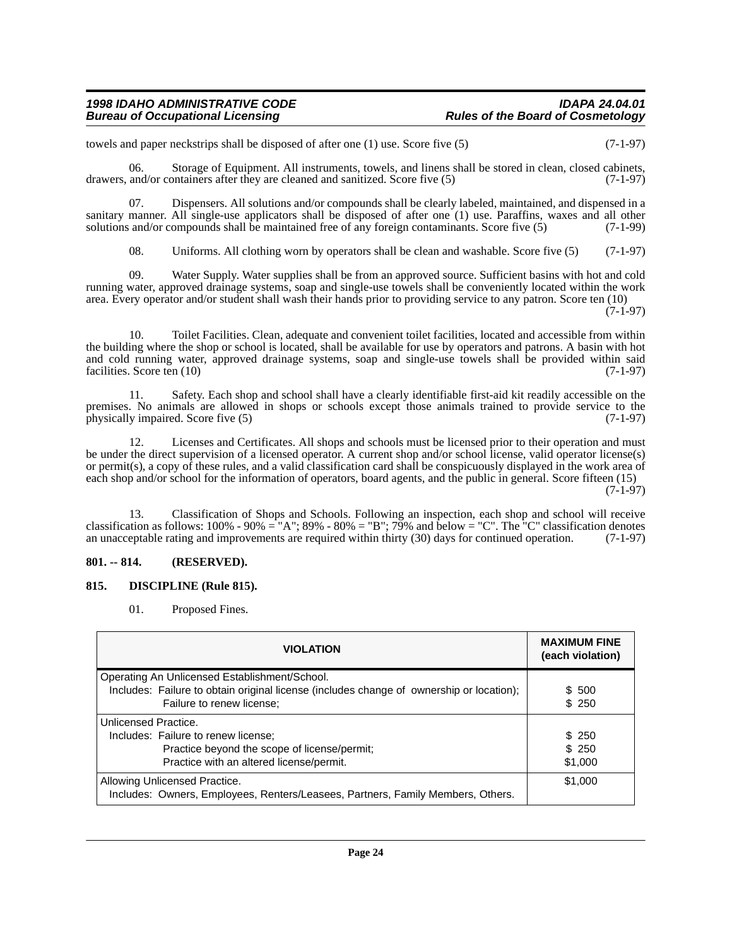towels and paper neckstrips shall be disposed of after one (1) use. Score five (5) (7-1-97)

06. Storage of Equipment. All instruments, towels, and linens shall be stored in clean, closed cabinets, drawers, and/or containers after they are cleaned and sanitized. Score five (5) (7-1-97)

07. Dispensers. All solutions and/or compounds shall be clearly labeled, maintained, and dispensed in a sanitary manner. All single-use applicators shall be disposed of after one (1) use. Paraffins, waxes and all other solutions and/or compounds shall be maintained free of any foreign contaminants. Score five (5) (7-1-99)

08. Uniforms. All clothing worn by operators shall be clean and washable. Score five (5) (7-1-97)

09. Water Supply. Water supplies shall be from an approved source. Sufficient basins with hot and cold running water, approved drainage systems, soap and single-use towels shall be conveniently located within the work area. Every operator and/or student shall wash their hands prior to providing service to any patron. Score ten (10)

(7-1-97)

10. Toilet Facilities. Clean, adequate and convenient toilet facilities, located and accessible from within the building where the shop or school is located, shall be available for use by operators and patrons. A basin with hot and cold running water, approved drainage systems, soap and single-use towels shall be provided within said facilities. Score ten (10) (7-1-97) facilities. Score ten  $(10)$ 

11. Safety. Each shop and school shall have a clearly identifiable first-aid kit readily accessible on the premises. No animals are allowed in shops or schools except those animals trained to provide service to the physically impaired. Score five (5) (7-1-97)

12. Licenses and Certificates. All shops and schools must be licensed prior to their operation and must be under the direct supervision of a licensed operator. A current shop and/or school license, valid operator license(s) or permit(s), a copy of these rules, and a valid classification card shall be conspicuously displayed in the work area of each shop and/or school for the information of operators, board agents, and the public in general. Score fifteen (15) (7-1-97)

13. Classification of Shops and Schools. Following an inspection, each shop and school will receive classification as follows:  $100\% - 90\% = H'' + 89\% - 80\% = H''' + 79\%$  and below =  $C'' -$ . The  $C''$  classification denotes an unacceptable rating and improvements are required within thirty (30) days for continued operation. (7-1-97)

#### <span id="page-23-0"></span>**801. -- 814. (RESERVED).**

#### <span id="page-23-1"></span>**815. DISCIPLINE (Rule 815).**

01. Proposed Fines.

| <b>VIOLATION</b>                                                                         | <b>MAXIMUM FINE</b><br>(each violation) |
|------------------------------------------------------------------------------------------|-----------------------------------------|
| Operating An Unlicensed Establishment/School.                                            |                                         |
| Includes: Failure to obtain original license (includes change of ownership or location); | \$ 500                                  |
| Failure to renew license;                                                                | \$250                                   |
| Unlicensed Practice.                                                                     |                                         |
| Includes: Failure to renew license;                                                      | \$ 250                                  |
| Practice beyond the scope of license/permit;                                             | \$250                                   |
| Practice with an altered license/permit.                                                 | \$1,000                                 |
| Allowing Unlicensed Practice.                                                            | \$1,000                                 |
| Includes: Owners, Employees, Renters/Leasees, Partners, Family Members, Others.          |                                         |